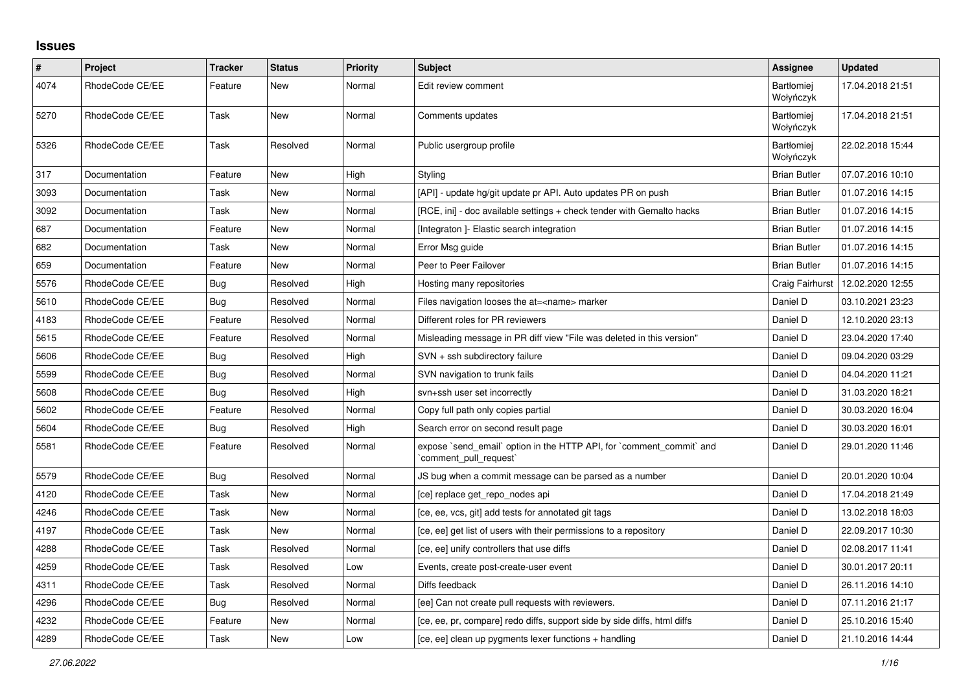## **Issues**

| $\vert$ # | Project         | Tracker    | <b>Status</b> | <b>Priority</b> | <b>Subject</b>                                                                                 | <b>Assignee</b>                | <b>Updated</b>   |
|-----------|-----------------|------------|---------------|-----------------|------------------------------------------------------------------------------------------------|--------------------------------|------------------|
| 4074      | RhodeCode CE/EE | Feature    | New           | Normal          | Edit review comment                                                                            | <b>Bartłomiei</b><br>Wołyńczyk | 17.04.2018 21:51 |
| 5270      | RhodeCode CE/EE | Task       | New           | Normal          | Comments updates                                                                               | <b>Bartłomiei</b><br>Wołyńczyk | 17.04.2018 21:51 |
| 5326      | RhodeCode CE/EE | Task       | Resolved      | Normal          | Public usergroup profile                                                                       | <b>Bartłomiei</b><br>Wołyńczyk | 22.02.2018 15:44 |
| 317       | Documentation   | Feature    | <b>New</b>    | High            | Styling                                                                                        | <b>Brian Butler</b>            | 07.07.2016 10:10 |
| 3093      | Documentation   | Task       | New           | Normal          | [API] - update hg/git update pr API. Auto updates PR on push                                   | <b>Brian Butler</b>            | 01.07.2016 14:15 |
| 3092      | Documentation   | Task       | New           | Normal          | [RCE, ini] - doc available settings + check tender with Gemalto hacks                          | <b>Brian Butler</b>            | 01.07.2016 14:15 |
| 687       | Documentation   | Feature    | New           | Normal          | [Integraton] - Elastic search integration                                                      | <b>Brian Butler</b>            | 01.07.2016 14:15 |
| 682       | Documentation   | Task       | New           | Normal          | Error Msg guide                                                                                | <b>Brian Butler</b>            | 01.07.2016 14:15 |
| 659       | Documentation   | Feature    | <b>New</b>    | Normal          | Peer to Peer Failover                                                                          | <b>Brian Butler</b>            | 01.07.2016 14:15 |
| 5576      | RhodeCode CE/EE | Bug        | Resolved      | High            | Hosting many repositories                                                                      | Craig Fairhurst                | 12.02.2020 12:55 |
| 5610      | RhodeCode CE/EE | Bug        | Resolved      | Normal          | Files navigation looses the at= <name> marker</name>                                           | Daniel D                       | 03.10.2021 23:23 |
| 4183      | RhodeCode CE/EE | Feature    | Resolved      | Normal          | Different roles for PR reviewers                                                               | Daniel D                       | 12.10.2020 23:13 |
| 5615      | RhodeCode CE/EE | Feature    | Resolved      | Normal          | Misleading message in PR diff view "File was deleted in this version"                          | Daniel D                       | 23.04.2020 17:40 |
| 5606      | RhodeCode CE/EE | <b>Bug</b> | Resolved      | High            | $SVN + ssh$ subdirectory failure                                                               | Daniel D                       | 09.04.2020 03:29 |
| 5599      | RhodeCode CE/EE | Bug        | Resolved      | Normal          | SVN navigation to trunk fails                                                                  | Daniel D                       | 04.04.2020 11:21 |
| 5608      | RhodeCode CE/EE | Bug        | Resolved      | High            | svn+ssh user set incorrectly                                                                   | Daniel D                       | 31.03.2020 18:21 |
| 5602      | RhodeCode CE/EE | Feature    | Resolved      | Normal          | Copy full path only copies partial                                                             | Daniel D                       | 30.03.2020 16:04 |
| 5604      | RhodeCode CE/EE | Bug        | Resolved      | High            | Search error on second result page                                                             | Daniel D                       | 30.03.2020 16:01 |
| 5581      | RhodeCode CE/EE | Feature    | Resolved      | Normal          | expose `send email` option in the HTTP API, for `comment commit` and<br>`comment_pull_request` | Daniel D                       | 29.01.2020 11:46 |
| 5579      | RhodeCode CE/EE | Bug        | Resolved      | Normal          | JS bug when a commit message can be parsed as a number                                         | Daniel D                       | 20.01.2020 10:04 |
| 4120      | RhodeCode CE/EE | Task       | New           | Normal          | [ce] replace get repo nodes api                                                                | Daniel D                       | 17.04.2018 21:49 |
| 4246      | RhodeCode CE/EE | Task       | <b>New</b>    | Normal          | [ce, ee, vcs, git] add tests for annotated git tags                                            | Daniel D                       | 13.02.2018 18:03 |
| 4197      | RhodeCode CE/EE | Task       | New           | Normal          | [ce, ee] get list of users with their permissions to a repository                              | Daniel D                       | 22.09.2017 10:30 |
| 4288      | RhodeCode CE/EE | Task       | Resolved      | Normal          | [ce, ee] unify controllers that use diffs                                                      | Daniel D                       | 02.08.2017 11:41 |
| 4259      | RhodeCode CE/EE | Task       | Resolved      | Low             | Events, create post-create-user event                                                          | Daniel D                       | 30.01.2017 20:11 |
| 4311      | RhodeCode CE/EE | Task       | Resolved      | Normal          | Diffs feedback                                                                                 | Daniel D                       | 26.11.2016 14:10 |
| 4296      | RhodeCode CE/EE | Bug        | Resolved      | Normal          | [ee] Can not create pull requests with reviewers.                                              | Daniel D                       | 07.11.2016 21:17 |
| 4232      | RhodeCode CE/EE | Feature    | New           | Normal          | [ce, ee, pr, compare] redo diffs, support side by side diffs, html diffs                       | Daniel D                       | 25.10.2016 15:40 |
| 4289      | RhodeCode CE/EE | Task       | <b>New</b>    | Low             | [ce, ee] clean up pygments lexer functions + handling                                          | Daniel D                       | 21.10.2016 14:44 |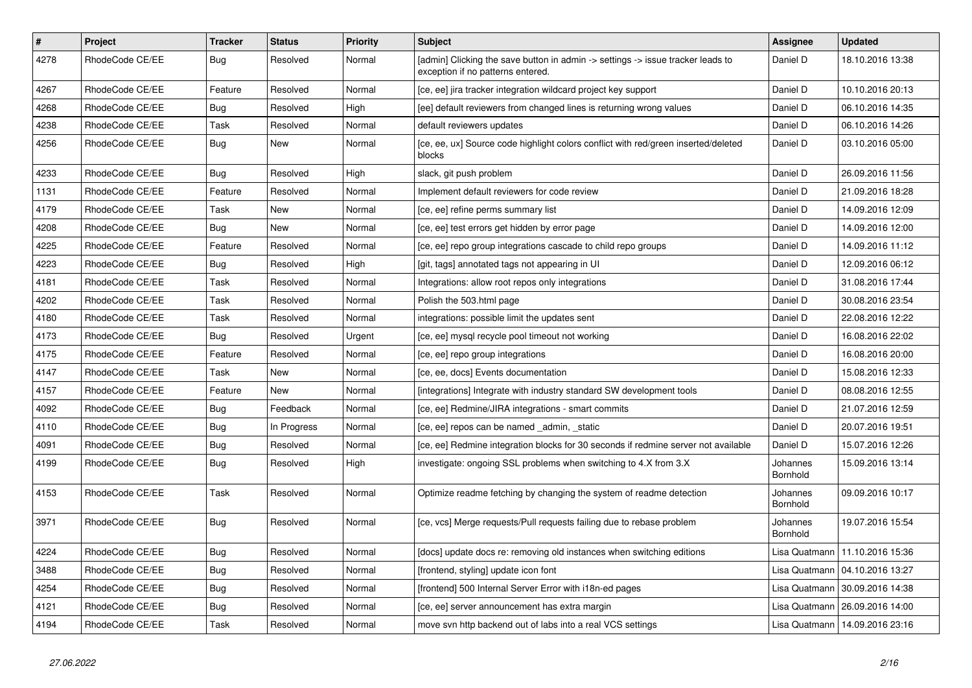| $\sharp$ | <b>Project</b>  | <b>Tracker</b> | <b>Status</b> | Priority | <b>Subject</b>                                                                                                       | <b>Assignee</b>             | <b>Updated</b>                   |
|----------|-----------------|----------------|---------------|----------|----------------------------------------------------------------------------------------------------------------------|-----------------------------|----------------------------------|
| 4278     | RhodeCode CE/EE | <b>Bug</b>     | Resolved      | Normal   | [admin] Clicking the save button in admin -> settings -> issue tracker leads to<br>exception if no patterns entered. | Daniel D                    | 18.10.2016 13:38                 |
| 4267     | RhodeCode CE/EE | Feature        | Resolved      | Normal   | [ce, ee] jira tracker integration wildcard project key support                                                       | Daniel D                    | 10.10.2016 20:13                 |
| 4268     | RhodeCode CE/EE | <b>Bug</b>     | Resolved      | High     | [ee] default reviewers from changed lines is returning wrong values                                                  | Daniel D                    | 06.10.2016 14:35                 |
| 4238     | RhodeCode CE/EE | Task           | Resolved      | Normal   | default reviewers updates                                                                                            | Daniel D                    | 06.10.2016 14:26                 |
| 4256     | RhodeCode CE/EE | <b>Bug</b>     | New           | Normal   | [ce, ee, ux] Source code highlight colors conflict with red/green inserted/deleted<br>blocks                         | Daniel D                    | 03.10.2016 05:00                 |
| 4233     | RhodeCode CE/EE | Bug            | Resolved      | High     | slack, git push problem                                                                                              | Daniel D                    | 26.09.2016 11:56                 |
| 1131     | RhodeCode CE/EE | Feature        | Resolved      | Normal   | Implement default reviewers for code review                                                                          | Daniel D                    | 21.09.2016 18:28                 |
| 4179     | RhodeCode CE/EE | Task           | New           | Normal   | [ce, ee] refine perms summary list                                                                                   | Daniel D                    | 14.09.2016 12:09                 |
| 4208     | RhodeCode CE/EE | <b>Bug</b>     | New           | Normal   | [ce, ee] test errors get hidden by error page                                                                        | Daniel D                    | 14.09.2016 12:00                 |
| 4225     | RhodeCode CE/EE | Feature        | Resolved      | Normal   | [ce, ee] repo group integrations cascade to child repo groups                                                        | Daniel D                    | 14.09.2016 11:12                 |
| 4223     | RhodeCode CE/EE | Bug            | Resolved      | High     | [git, tags] annotated tags not appearing in UI                                                                       | Daniel D                    | 12.09.2016 06:12                 |
| 4181     | RhodeCode CE/EE | Task           | Resolved      | Normal   | Integrations: allow root repos only integrations                                                                     | Daniel D                    | 31.08.2016 17:44                 |
| 4202     | RhodeCode CE/EE | Task           | Resolved      | Normal   | Polish the 503.html page                                                                                             | Daniel D                    | 30.08.2016 23:54                 |
| 4180     | RhodeCode CE/EE | Task           | Resolved      | Normal   | integrations: possible limit the updates sent                                                                        | Daniel D                    | 22.08.2016 12:22                 |
| 4173     | RhodeCode CE/EE | Bug            | Resolved      | Urgent   | [ce, ee] mysql recycle pool timeout not working                                                                      | Daniel D                    | 16.08.2016 22:02                 |
| 4175     | RhodeCode CE/EE | Feature        | Resolved      | Normal   | [ce, ee] repo group integrations                                                                                     | Daniel D                    | 16.08.2016 20:00                 |
| 4147     | RhodeCode CE/EE | Task           | New           | Normal   | [ce, ee, docs] Events documentation                                                                                  | Daniel D                    | 15.08.2016 12:33                 |
| 4157     | RhodeCode CE/EE | Feature        | <b>New</b>    | Normal   | [integrations] Integrate with industry standard SW development tools                                                 | Daniel D                    | 08.08.2016 12:55                 |
| 4092     | RhodeCode CE/EE | Bug            | Feedback      | Normal   | [ce, ee] Redmine/JIRA integrations - smart commits                                                                   | Daniel D                    | 21.07.2016 12:59                 |
| 4110     | RhodeCode CE/EE | Bug            | In Progress   | Normal   | [ce, ee] repos can be named admin, static                                                                            | Daniel D                    | 20.07.2016 19:51                 |
| 4091     | RhodeCode CE/EE | <b>Bug</b>     | Resolved      | Normal   | [ce, ee] Redmine integration blocks for 30 seconds if redmine server not available                                   | Daniel D                    | 15.07.2016 12:26                 |
| 4199     | RhodeCode CE/EE | <b>Bug</b>     | Resolved      | High     | investigate: ongoing SSL problems when switching to 4.X from 3.X                                                     | Johannes<br>Bornhold        | 15.09.2016 13:14                 |
| 4153     | RhodeCode CE/EE | Task           | Resolved      | Normal   | Optimize readme fetching by changing the system of readme detection                                                  | Johannes<br>Bornhold        | 09.09.2016 10:17                 |
| 3971     | RhodeCode CE/EE | Bug            | Resolved      | Normal   | [ce, vcs] Merge requests/Pull requests failing due to rebase problem                                                 | Johannes<br><b>Bornhold</b> | 19.07.2016 15:54                 |
| 4224     | RhodeCode CE/EE | <b>Bug</b>     | Resolved      | Normal   | [docs] update docs re: removing old instances when switching editions                                                | Lisa Quatmann               | 11.10.2016 15:36                 |
| 3488     | RhodeCode CE/EE | Bug            | Resolved      | Normal   | [frontend, styling] update icon font                                                                                 | Lisa Quatmann               | 04.10.2016 13:27                 |
| 4254     | RhodeCode CE/EE | Bug            | Resolved      | Normal   | [frontend] 500 Internal Server Error with i18n-ed pages                                                              | Lisa Quatmann               | 30.09.2016 14:38                 |
| 4121     | RhodeCode CE/EE | Bug            | Resolved      | Normal   | [ce, ee] server announcement has extra margin                                                                        |                             | Lisa Quatmann   26.09.2016 14:00 |
| 4194     | RhodeCode CE/EE | Task           | Resolved      | Normal   | move svn http backend out of labs into a real VCS settings                                                           |                             | Lisa Quatmann   14.09.2016 23:16 |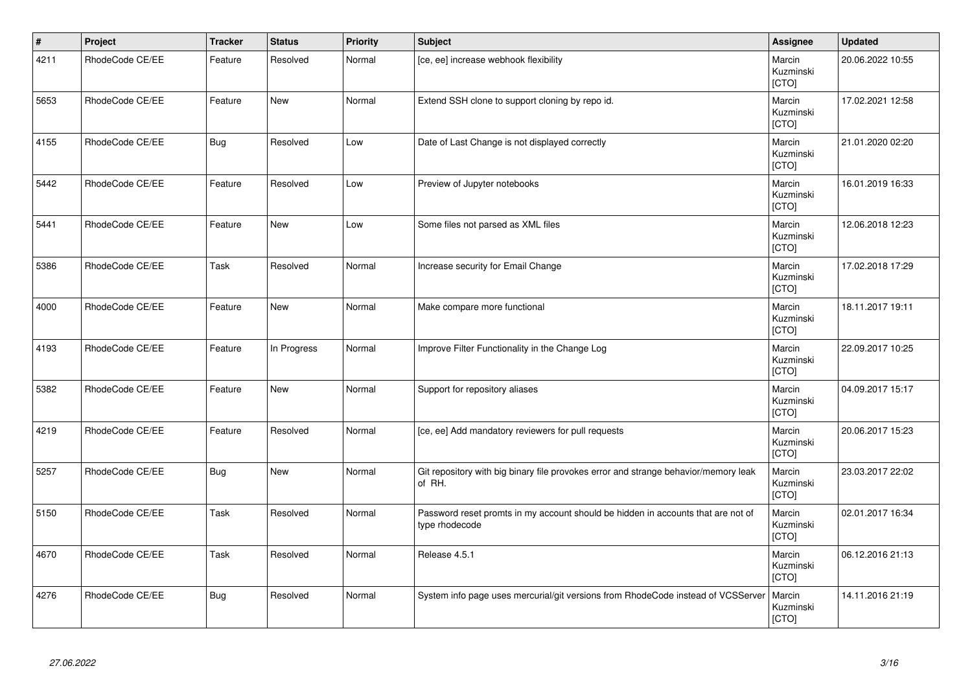| $\vert$ # | Project         | <b>Tracker</b> | <b>Status</b> | <b>Priority</b> | Subject                                                                                            | Assignee                     | <b>Updated</b>   |
|-----------|-----------------|----------------|---------------|-----------------|----------------------------------------------------------------------------------------------------|------------------------------|------------------|
| 4211      | RhodeCode CE/EE | Feature        | Resolved      | Normal          | [ce, ee] increase webhook flexibility                                                              | Marcin<br>Kuzminski<br>[CTO] | 20.06.2022 10:55 |
| 5653      | RhodeCode CE/EE | Feature        | New           | Normal          | Extend SSH clone to support cloning by repo id.                                                    | Marcin<br>Kuzminski<br>[CTO] | 17.02.2021 12:58 |
| 4155      | RhodeCode CE/EE | <b>Bug</b>     | Resolved      | Low             | Date of Last Change is not displayed correctly                                                     | Marcin<br>Kuzminski<br>[CTO] | 21.01.2020 02:20 |
| 5442      | RhodeCode CE/EE | Feature        | Resolved      | Low             | Preview of Jupyter notebooks                                                                       | Marcin<br>Kuzminski<br>[CTO] | 16.01.2019 16:33 |
| 5441      | RhodeCode CE/EE | Feature        | <b>New</b>    | Low             | Some files not parsed as XML files                                                                 | Marcin<br>Kuzminski<br>[CTO] | 12.06.2018 12:23 |
| 5386      | RhodeCode CE/EE | Task           | Resolved      | Normal          | Increase security for Email Change                                                                 | Marcin<br>Kuzminski<br>[CTO] | 17.02.2018 17:29 |
| 4000      | RhodeCode CE/EE | Feature        | New           | Normal          | Make compare more functional                                                                       | Marcin<br>Kuzminski<br>[CTO] | 18.11.2017 19:11 |
| 4193      | RhodeCode CE/EE | Feature        | In Progress   | Normal          | Improve Filter Functionality in the Change Log                                                     | Marcin<br>Kuzminski<br>[CTO] | 22.09.2017 10:25 |
| 5382      | RhodeCode CE/EE | Feature        | <b>New</b>    | Normal          | Support for repository aliases                                                                     | Marcin<br>Kuzminski<br>[CTO] | 04.09.2017 15:17 |
| 4219      | RhodeCode CE/EE | Feature        | Resolved      | Normal          | [ce, ee] Add mandatory reviewers for pull requests                                                 | Marcin<br>Kuzminski<br>[CTO] | 20.06.2017 15:23 |
| 5257      | RhodeCode CE/EE | <b>Bug</b>     | <b>New</b>    | Normal          | Git repository with big binary file provokes error and strange behavior/memory leak<br>of RH.      | Marcin<br>Kuzminski<br>[CTO] | 23.03.2017 22:02 |
| 5150      | RhodeCode CE/EE | Task           | Resolved      | Normal          | Password reset promts in my account should be hidden in accounts that are not of<br>type rhodecode | Marcin<br>Kuzminski<br>[CTO] | 02.01.2017 16:34 |
| 4670      | RhodeCode CE/EE | Task           | Resolved      | Normal          | Release 4.5.1                                                                                      | Marcin<br>Kuzminski<br>[CTO] | 06.12.2016 21:13 |
| 4276      | RhodeCode CE/EE | <b>Bug</b>     | Resolved      | Normal          | System info page uses mercurial/git versions from RhodeCode instead of VCSServer                   | Marcin<br>Kuzminski<br>[CTO] | 14.11.2016 21:19 |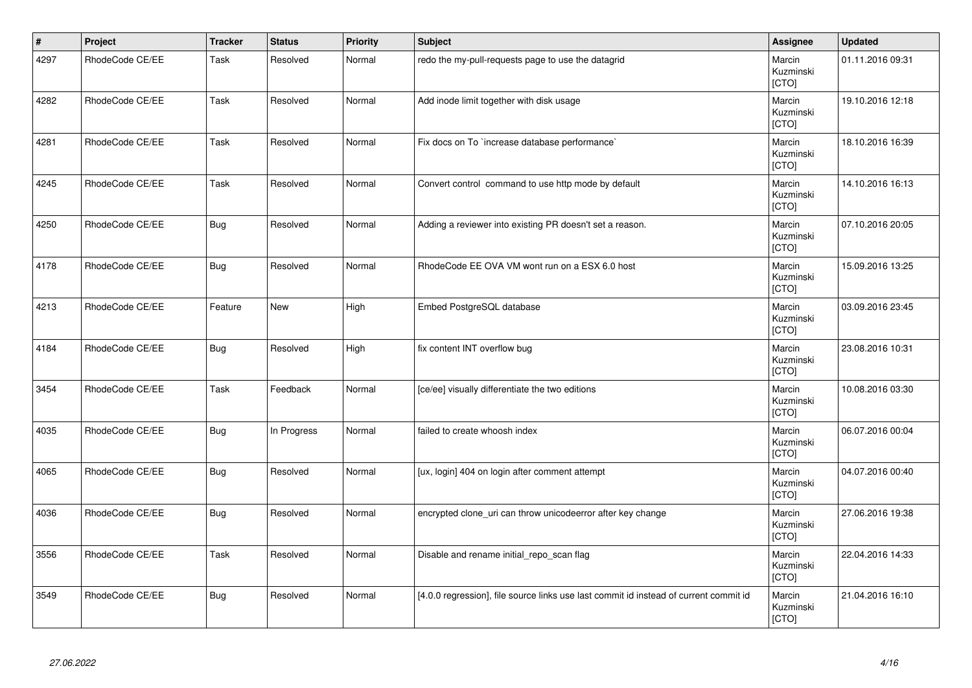| $\vert$ # | Project         | <b>Tracker</b> | <b>Status</b> | <b>Priority</b> | <b>Subject</b>                                                                        | Assignee                     | <b>Updated</b>   |
|-----------|-----------------|----------------|---------------|-----------------|---------------------------------------------------------------------------------------|------------------------------|------------------|
| 4297      | RhodeCode CE/EE | Task           | Resolved      | Normal          | redo the my-pull-requests page to use the datagrid                                    | Marcin<br>Kuzminski<br>[CTO] | 01.11.2016 09:31 |
| 4282      | RhodeCode CE/EE | Task           | Resolved      | Normal          | Add inode limit together with disk usage                                              | Marcin<br>Kuzminski<br>[CTO] | 19.10.2016 12:18 |
| 4281      | RhodeCode CE/EE | Task           | Resolved      | Normal          | Fix docs on To `increase database performance`                                        | Marcin<br>Kuzminski<br>[CTO] | 18.10.2016 16:39 |
| 4245      | RhodeCode CE/EE | Task           | Resolved      | Normal          | Convert control command to use http mode by default                                   | Marcin<br>Kuzminski<br>[CTO] | 14.10.2016 16:13 |
| 4250      | RhodeCode CE/EE | <b>Bug</b>     | Resolved      | Normal          | Adding a reviewer into existing PR doesn't set a reason.                              | Marcin<br>Kuzminski<br>[CTO] | 07.10.2016 20:05 |
| 4178      | RhodeCode CE/EE | <b>Bug</b>     | Resolved      | Normal          | RhodeCode EE OVA VM wont run on a ESX 6.0 host                                        | Marcin<br>Kuzminski<br>[CTO] | 15.09.2016 13:25 |
| 4213      | RhodeCode CE/EE | Feature        | <b>New</b>    | High            | Embed PostgreSQL database                                                             | Marcin<br>Kuzminski<br>[CTO] | 03.09.2016 23:45 |
| 4184      | RhodeCode CE/EE | <b>Bug</b>     | Resolved      | High            | fix content INT overflow bug                                                          | Marcin<br>Kuzminski<br>[CTO] | 23.08.2016 10:31 |
| 3454      | RhodeCode CE/EE | Task           | Feedback      | Normal          | [ce/ee] visually differentiate the two editions                                       | Marcin<br>Kuzminski<br>[CTO] | 10.08.2016 03:30 |
| 4035      | RhodeCode CE/EE | Bug            | In Progress   | Normal          | failed to create whoosh index                                                         | Marcin<br>Kuzminski<br>[CTO] | 06.07.2016 00:04 |
| 4065      | RhodeCode CE/EE | <b>Bug</b>     | Resolved      | Normal          | [ux, login] 404 on login after comment attempt                                        | Marcin<br>Kuzminski<br>[CTO] | 04.07.2016 00:40 |
| 4036      | RhodeCode CE/EE | <b>Bug</b>     | Resolved      | Normal          | encrypted clone_uri can throw unicodeerror after key change                           | Marcin<br>Kuzminski<br>[CTO] | 27.06.2016 19:38 |
| 3556      | RhodeCode CE/EE | Task           | Resolved      | Normal          | Disable and rename initial_repo_scan flag                                             | Marcin<br>Kuzminski<br>[CTO] | 22.04.2016 14:33 |
| 3549      | RhodeCode CE/EE | <b>Bug</b>     | Resolved      | Normal          | [4.0.0 regression], file source links use last commit id instead of current commit id | Marcin<br>Kuzminski<br>[CTO] | 21.04.2016 16:10 |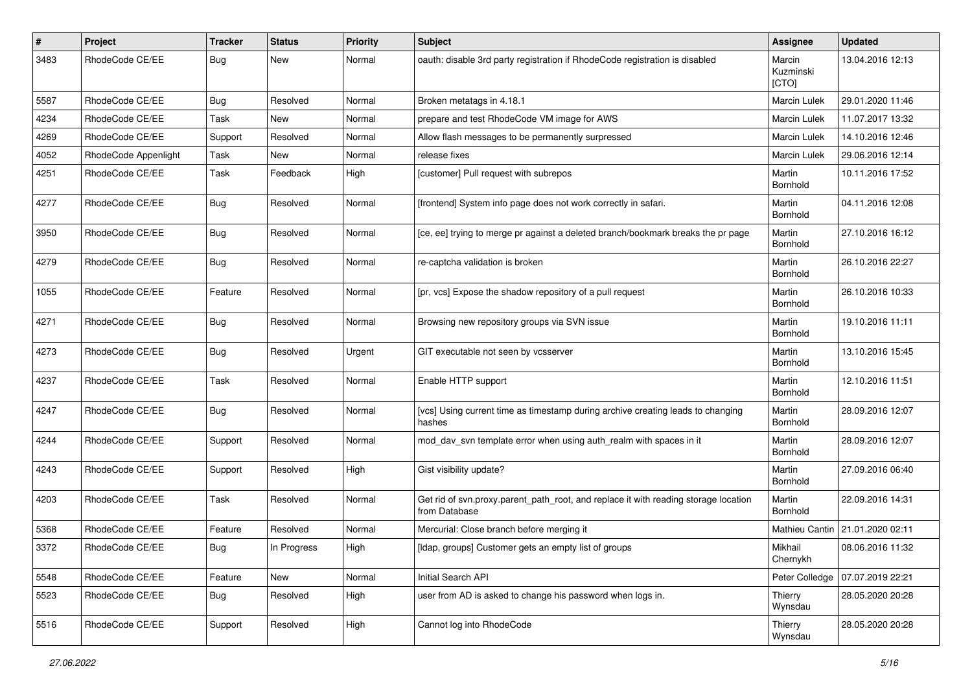| $\pmb{\#}$ | <b>Project</b>       | <b>Tracker</b> | <b>Status</b> | <b>Priority</b> | <b>Subject</b>                                                                                       | Assignee                     | <b>Updated</b>                    |
|------------|----------------------|----------------|---------------|-----------------|------------------------------------------------------------------------------------------------------|------------------------------|-----------------------------------|
| 3483       | RhodeCode CE/EE      | Bug            | New           | Normal          | oauth: disable 3rd party registration if RhodeCode registration is disabled                          | Marcin<br>Kuzminski<br>[CTO] | 13.04.2016 12:13                  |
| 5587       | RhodeCode CE/EE      | <b>Bug</b>     | Resolved      | Normal          | Broken metatags in 4.18.1                                                                            | <b>Marcin Lulek</b>          | 29.01.2020 11:46                  |
| 4234       | RhodeCode CE/EE      | Task           | <b>New</b>    | Normal          | prepare and test RhodeCode VM image for AWS                                                          | Marcin Lulek                 | 11.07.2017 13:32                  |
| 4269       | RhodeCode CE/EE      | Support        | Resolved      | Normal          | Allow flash messages to be permanently surpressed                                                    | Marcin Lulek                 | 14.10.2016 12:46                  |
| 4052       | RhodeCode Appenlight | Task           | New           | Normal          | release fixes                                                                                        | <b>Marcin Lulek</b>          | 29.06.2016 12:14                  |
| 4251       | RhodeCode CE/EE      | Task           | Feedback      | High            | [customer] Pull request with subrepos                                                                | Martin<br>Bornhold           | 10.11.2016 17:52                  |
| 4277       | RhodeCode CE/EE      | Bug            | Resolved      | Normal          | [frontend] System info page does not work correctly in safari.                                       | Martin<br>Bornhold           | 04.11.2016 12:08                  |
| 3950       | RhodeCode CE/EE      | Bug            | Resolved      | Normal          | [ce, ee] trying to merge pr against a deleted branch/bookmark breaks the pr page                     | Martin<br>Bornhold           | 27.10.2016 16:12                  |
| 4279       | RhodeCode CE/EE      | Bug            | Resolved      | Normal          | re-captcha validation is broken                                                                      | Martin<br>Bornhold           | 26.10.2016 22:27                  |
| 1055       | RhodeCode CE/EE      | Feature        | Resolved      | Normal          | [pr, vcs] Expose the shadow repository of a pull request                                             | Martin<br>Bornhold           | 26.10.2016 10:33                  |
| 4271       | RhodeCode CE/EE      | Bug            | Resolved      | Normal          | Browsing new repository groups via SVN issue                                                         | Martin<br>Bornhold           | 19.10.2016 11:11                  |
| 4273       | RhodeCode CE/EE      | Bug            | Resolved      | Urgent          | GIT executable not seen by vcsserver                                                                 | Martin<br>Bornhold           | 13.10.2016 15:45                  |
| 4237       | RhodeCode CE/EE      | Task           | Resolved      | Normal          | Enable HTTP support                                                                                  | Martin<br>Bornhold           | 12.10.2016 11:51                  |
| 4247       | RhodeCode CE/EE      | Bug            | Resolved      | Normal          | [vcs] Using current time as timestamp during archive creating leads to changing<br>hashes            | Martin<br>Bornhold           | 28.09.2016 12:07                  |
| 4244       | RhodeCode CE/EE      | Support        | Resolved      | Normal          | mod day syn template error when using auth realm with spaces in it                                   | Martin<br>Bornhold           | 28.09.2016 12:07                  |
| 4243       | RhodeCode CE/EE      | Support        | Resolved      | High            | Gist visibility update?                                                                              | Martin<br>Bornhold           | 27.09.2016 06:40                  |
| 4203       | RhodeCode CE/EE      | Task           | Resolved      | Normal          | Get rid of svn.proxy.parent_path_root, and replace it with reading storage location<br>from Database | Martin<br>Bornhold           | 22.09.2016 14:31                  |
| 5368       | RhodeCode CE/EE      | Feature        | Resolved      | Normal          | Mercurial: Close branch before merging it                                                            |                              | Mathieu Cantin   21.01.2020 02:11 |
| 3372       | RhodeCode CE/EE      | Bug            | In Progress   | High            | [Idap, groups] Customer gets an empty list of groups                                                 | Mikhail<br>Chernykh          | 08.06.2016 11:32                  |
| 5548       | RhodeCode CE/EE      | Feature        | New           | Normal          | Initial Search API                                                                                   | Peter Colledge               | 07.07.2019 22:21                  |
| 5523       | RhodeCode CE/EE      | <b>Bug</b>     | Resolved      | High            | user from AD is asked to change his password when logs in.                                           | Thierry<br>Wynsdau           | 28.05.2020 20:28                  |
| 5516       | RhodeCode CE/EE      | Support        | Resolved      | High            | Cannot log into RhodeCode                                                                            | Thierry<br>Wynsdau           | 28.05.2020 20:28                  |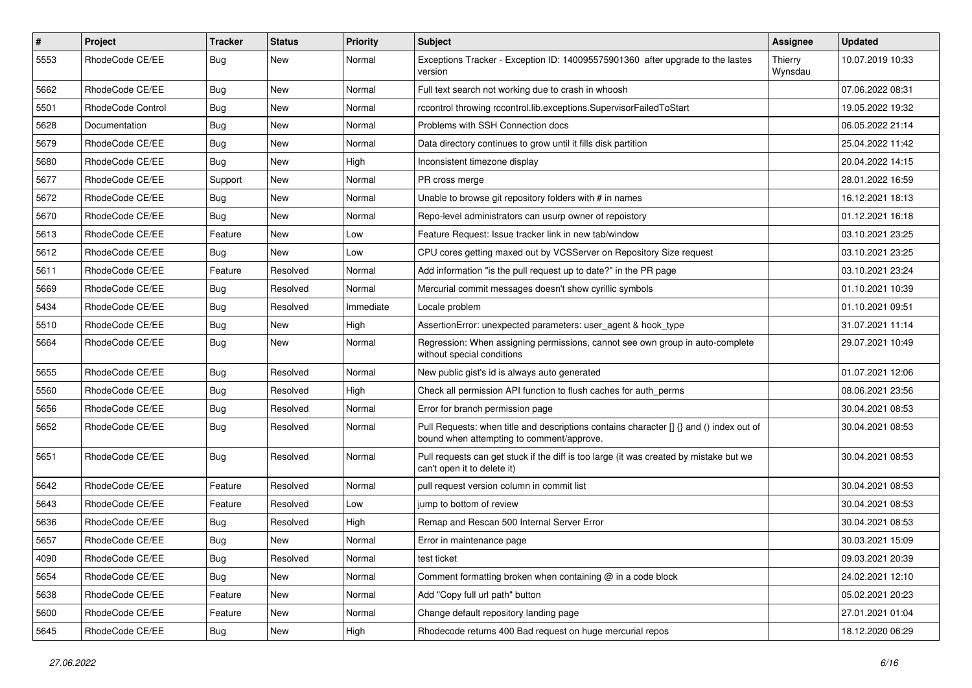| $\sharp$ | Project                  | <b>Tracker</b> | <b>Status</b> | Priority  | <b>Subject</b>                                                                                                                       | <b>Assignee</b>    | <b>Updated</b>   |
|----------|--------------------------|----------------|---------------|-----------|--------------------------------------------------------------------------------------------------------------------------------------|--------------------|------------------|
| 5553     | RhodeCode CE/EE          | Bug            | New           | Normal    | Exceptions Tracker - Exception ID: 140095575901360 after upgrade to the lastes<br>version                                            | Thierry<br>Wynsdau | 10.07.2019 10:33 |
| 5662     | RhodeCode CE/EE          | Bug            | <b>New</b>    | Normal    | Full text search not working due to crash in whoosh                                                                                  |                    | 07.06.2022 08:31 |
| 5501     | <b>RhodeCode Control</b> | Bug            | New           | Normal    | rccontrol throwing rccontrol.lib.exceptions.SupervisorFailedToStart                                                                  |                    | 19.05.2022 19:32 |
| 5628     | Documentation            | Bug            | <b>New</b>    | Normal    | Problems with SSH Connection docs                                                                                                    |                    | 06.05.2022 21:14 |
| 5679     | RhodeCode CE/EE          | Bug            | New           | Normal    | Data directory continues to grow until it fills disk partition                                                                       |                    | 25.04.2022 11:42 |
| 5680     | RhodeCode CE/EE          | Bug            | <b>New</b>    | High      | Inconsistent timezone display                                                                                                        |                    | 20.04.2022 14:15 |
| 5677     | RhodeCode CE/EE          | Support        | <b>New</b>    | Normal    | PR cross merge                                                                                                                       |                    | 28.01.2022 16:59 |
| 5672     | RhodeCode CE/EE          | Bug            | New           | Normal    | Unable to browse git repository folders with # in names                                                                              |                    | 16.12.2021 18:13 |
| 5670     | RhodeCode CE/EE          | Bug            | <b>New</b>    | Normal    | Repo-level administrators can usurp owner of repoistory                                                                              |                    | 01.12.2021 16:18 |
| 5613     | RhodeCode CE/EE          | Feature        | New           | Low       | Feature Request: Issue tracker link in new tab/window                                                                                |                    | 03.10.2021 23:25 |
| 5612     | RhodeCode CE/EE          | Bug            | <b>New</b>    | Low       | CPU cores getting maxed out by VCSServer on Repository Size request                                                                  |                    | 03.10.2021 23:25 |
| 5611     | RhodeCode CE/EE          | Feature        | Resolved      | Normal    | Add information "is the pull request up to date?" in the PR page                                                                     |                    | 03.10.2021 23:24 |
| 5669     | RhodeCode CE/EE          | <b>Bug</b>     | Resolved      | Normal    | Mercurial commit messages doesn't show cyrillic symbols                                                                              |                    | 01.10.2021 10:39 |
| 5434     | RhodeCode CE/EE          | Bug            | Resolved      | Immediate | Locale problem                                                                                                                       |                    | 01.10.2021 09:51 |
| 5510     | RhodeCode CE/EE          | Bug            | New           | High      | AssertionError: unexpected parameters: user agent & hook type                                                                        |                    | 31.07.2021 11:14 |
| 5664     | RhodeCode CE/EE          | Bug            | New           | Normal    | Regression: When assigning permissions, cannot see own group in auto-complete<br>without special conditions                          |                    | 29.07.2021 10:49 |
| 5655     | RhodeCode CE/EE          | Bug            | Resolved      | Normal    | New public gist's id is always auto generated                                                                                        |                    | 01.07.2021 12:06 |
| 5560     | RhodeCode CE/EE          | Bug            | Resolved      | High      | Check all permission API function to flush caches for auth perms                                                                     |                    | 08.06.2021 23:56 |
| 5656     | RhodeCode CE/EE          | Bug            | Resolved      | Normal    | Error for branch permission page                                                                                                     |                    | 30.04.2021 08:53 |
| 5652     | RhodeCode CE/EE          | Bug            | Resolved      | Normal    | Pull Requests: when title and descriptions contains character [] {} and () index out of<br>bound when attempting to comment/approve. |                    | 30.04.2021 08:53 |
| 5651     | RhodeCode CE/EE          | <b>Bug</b>     | Resolved      | Normal    | Pull requests can get stuck if the diff is too large (it was created by mistake but we<br>can't open it to delete it)                |                    | 30.04.2021 08:53 |
| 5642     | RhodeCode CE/EE          | Feature        | Resolved      | Normal    | pull request version column in commit list                                                                                           |                    | 30.04.2021 08:53 |
| 5643     | RhodeCode CE/EE          | Feature        | Resolved      | Low       | jump to bottom of review                                                                                                             |                    | 30.04.2021 08:53 |
| 5636     | RhodeCode CE/EE          | <b>Bug</b>     | Resolved      | High      | Remap and Rescan 500 Internal Server Error                                                                                           |                    | 30.04.2021 08:53 |
| 5657     | RhodeCode CE/EE          | Bug            | <b>New</b>    | Normal    | Error in maintenance page                                                                                                            |                    | 30.03.2021 15:09 |
| 4090     | RhodeCode CE/EE          | Bug            | Resolved      | Normal    | test ticket                                                                                                                          |                    | 09.03.2021 20:39 |
| 5654     | RhodeCode CE/EE          | Bug            | New           | Normal    | Comment formatting broken when containing @ in a code block                                                                          |                    | 24.02.2021 12:10 |
| 5638     | RhodeCode CE/EE          | Feature        | New           | Normal    | Add "Copy full url path" button                                                                                                      |                    | 05.02.2021 20:23 |
| 5600     | RhodeCode CE/EE          | Feature        | New           | Normal    | Change default repository landing page                                                                                               |                    | 27.01.2021 01:04 |
| 5645     | RhodeCode CE/EE          | <b>Bug</b>     | New           | High      | Rhodecode returns 400 Bad request on huge mercurial repos                                                                            |                    | 18.12.2020 06:29 |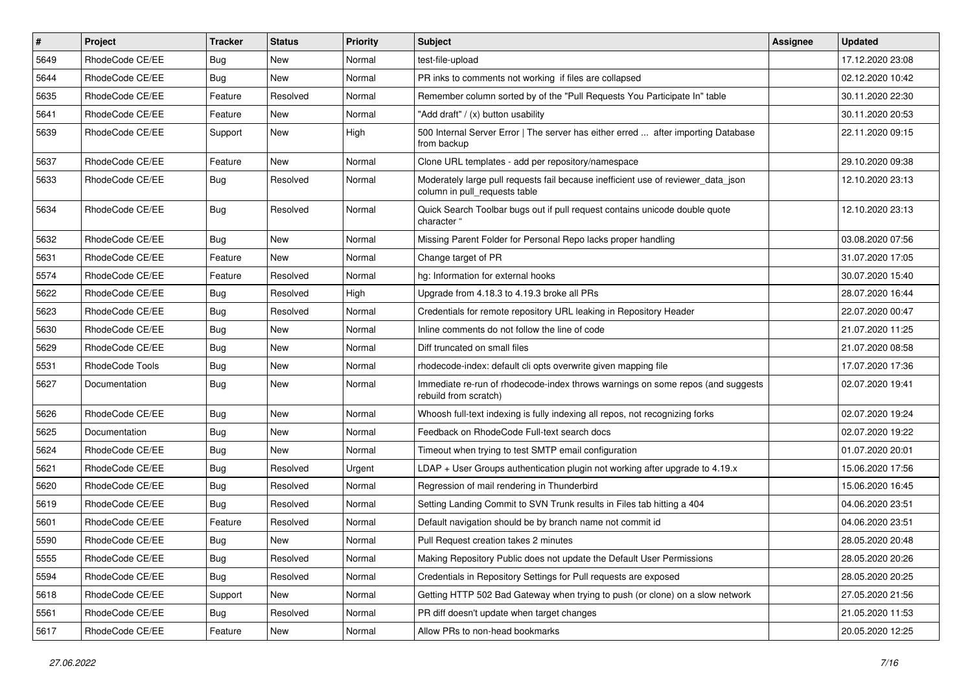| $\pmb{\#}$ | <b>Project</b>  | <b>Tracker</b> | <b>Status</b> | <b>Priority</b> | Subject                                                                                                            | <b>Assignee</b> | <b>Updated</b>   |
|------------|-----------------|----------------|---------------|-----------------|--------------------------------------------------------------------------------------------------------------------|-----------------|------------------|
| 5649       | RhodeCode CE/EE | Bug            | New           | Normal          | test-file-upload                                                                                                   |                 | 17.12.2020 23:08 |
| 5644       | RhodeCode CE/EE | Bug            | <b>New</b>    | Normal          | PR inks to comments not working if files are collapsed                                                             |                 | 02.12.2020 10:42 |
| 5635       | RhodeCode CE/EE | Feature        | Resolved      | Normal          | Remember column sorted by of the "Pull Requests You Participate In" table                                          |                 | 30.11.2020 22:30 |
| 5641       | RhodeCode CE/EE | Feature        | New           | Normal          | "Add draft" / (x) button usability                                                                                 |                 | 30.11.2020 20:53 |
| 5639       | RhodeCode CE/EE | Support        | <b>New</b>    | High            | 500 Internal Server Error   The server has either erred  after importing Database<br>from backup                   |                 | 22.11.2020 09:15 |
| 5637       | RhodeCode CE/EE | Feature        | <b>New</b>    | Normal          | Clone URL templates - add per repository/namespace                                                                 |                 | 29.10.2020 09:38 |
| 5633       | RhodeCode CE/EE | Bug            | Resolved      | Normal          | Moderately large pull requests fail because inefficient use of reviewer_data_json<br>column in pull requests table |                 | 12.10.2020 23:13 |
| 5634       | RhodeCode CE/EE | Bug            | Resolved      | Normal          | Quick Search Toolbar bugs out if pull request contains unicode double quote<br>character "                         |                 | 12.10.2020 23:13 |
| 5632       | RhodeCode CE/EE | Bug            | New           | Normal          | Missing Parent Folder for Personal Repo lacks proper handling                                                      |                 | 03.08.2020 07:56 |
| 5631       | RhodeCode CE/EE | Feature        | New           | Normal          | Change target of PR                                                                                                |                 | 31.07.2020 17:05 |
| 5574       | RhodeCode CE/EE | Feature        | Resolved      | Normal          | hg: Information for external hooks                                                                                 |                 | 30.07.2020 15:40 |
| 5622       | RhodeCode CE/EE | Bug            | Resolved      | High            | Upgrade from 4.18.3 to 4.19.3 broke all PRs                                                                        |                 | 28.07.2020 16:44 |
| 5623       | RhodeCode CE/EE | Bug            | Resolved      | Normal          | Credentials for remote repository URL leaking in Repository Header                                                 |                 | 22.07.2020 00:47 |
| 5630       | RhodeCode CE/EE | <b>Bug</b>     | New           | Normal          | Inline comments do not follow the line of code                                                                     |                 | 21.07.2020 11:25 |
| 5629       | RhodeCode CE/EE | <b>Bug</b>     | <b>New</b>    | Normal          | Diff truncated on small files                                                                                      |                 | 21.07.2020 08:58 |
| 5531       | RhodeCode Tools | Bug            | New           | Normal          | rhodecode-index: default cli opts overwrite given mapping file                                                     |                 | 17.07.2020 17:36 |
| 5627       | Documentation   | Bug            | New           | Normal          | Immediate re-run of rhodecode-index throws warnings on some repos (and suggests<br>rebuild from scratch)           |                 | 02.07.2020 19:41 |
| 5626       | RhodeCode CE/EE | <b>Bug</b>     | New           | Normal          | Whoosh full-text indexing is fully indexing all repos, not recognizing forks                                       |                 | 02.07.2020 19:24 |
| 5625       | Documentation   | <b>Bug</b>     | New           | Normal          | Feedback on RhodeCode Full-text search docs                                                                        |                 | 02.07.2020 19:22 |
| 5624       | RhodeCode CE/EE | <b>Bug</b>     | New           | Normal          | Timeout when trying to test SMTP email configuration                                                               |                 | 01.07.2020 20:01 |
| 5621       | RhodeCode CE/EE | <b>Bug</b>     | Resolved      | Urgent          | LDAP + User Groups authentication plugin not working after upgrade to 4.19.x                                       |                 | 15.06.2020 17:56 |
| 5620       | RhodeCode CE/EE | Bug            | Resolved      | Normal          | Regression of mail rendering in Thunderbird                                                                        |                 | 15.06.2020 16:45 |
| 5619       | RhodeCode CE/EE | <b>Bug</b>     | Resolved      | Normal          | Setting Landing Commit to SVN Trunk results in Files tab hitting a 404                                             |                 | 04.06.2020 23:51 |
| 5601       | RhodeCode CE/EE | Feature        | Resolved      | Normal          | Default navigation should be by branch name not commit id                                                          |                 | 04.06.2020 23:51 |
| 5590       | RhodeCode CE/EE | Bug            | New           | Normal          | Pull Request creation takes 2 minutes                                                                              |                 | 28.05.2020 20:48 |
| 5555       | RhodeCode CE/EE | <b>Bug</b>     | Resolved      | Normal          | Making Repository Public does not update the Default User Permissions                                              |                 | 28.05.2020 20:26 |
| 5594       | RhodeCode CE/EE | Bug            | Resolved      | Normal          | Credentials in Repository Settings for Pull requests are exposed                                                   |                 | 28.05.2020 20:25 |
| 5618       | RhodeCode CE/EE | Support        | New           | Normal          | Getting HTTP 502 Bad Gateway when trying to push (or clone) on a slow network                                      |                 | 27.05.2020 21:56 |
| 5561       | RhodeCode CE/EE | <b>Bug</b>     | Resolved      | Normal          | PR diff doesn't update when target changes                                                                         |                 | 21.05.2020 11:53 |
| 5617       | RhodeCode CE/EE | Feature        | New           | Normal          | Allow PRs to non-head bookmarks                                                                                    |                 | 20.05.2020 12:25 |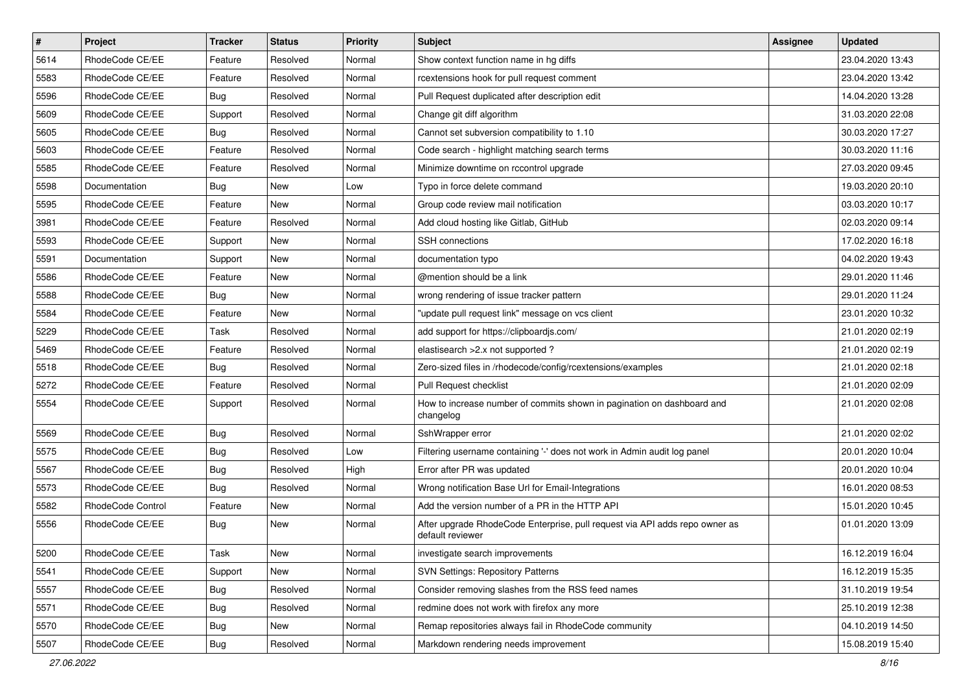| $\vert$ # | Project           | <b>Tracker</b> | <b>Status</b> | <b>Priority</b> | Subject                                                                                         | <b>Assignee</b> | <b>Updated</b>   |
|-----------|-------------------|----------------|---------------|-----------------|-------------------------------------------------------------------------------------------------|-----------------|------------------|
| 5614      | RhodeCode CE/EE   | Feature        | Resolved      | Normal          | Show context function name in hg diffs                                                          |                 | 23.04.2020 13:43 |
| 5583      | RhodeCode CE/EE   | Feature        | Resolved      | Normal          | rcextensions hook for pull request comment                                                      |                 | 23.04.2020 13:42 |
| 5596      | RhodeCode CE/EE   | Bug            | Resolved      | Normal          | Pull Request duplicated after description edit                                                  |                 | 14.04.2020 13:28 |
| 5609      | RhodeCode CE/EE   | Support        | Resolved      | Normal          | Change git diff algorithm                                                                       |                 | 31.03.2020 22:08 |
| 5605      | RhodeCode CE/EE   | <b>Bug</b>     | Resolved      | Normal          | Cannot set subversion compatibility to 1.10                                                     |                 | 30.03.2020 17:27 |
| 5603      | RhodeCode CE/EE   | Feature        | Resolved      | Normal          | Code search - highlight matching search terms                                                   |                 | 30.03.2020 11:16 |
| 5585      | RhodeCode CE/EE   | Feature        | Resolved      | Normal          | Minimize downtime on rccontrol upgrade                                                          |                 | 27.03.2020 09:45 |
| 5598      | Documentation     | Bug            | New           | Low             | Typo in force delete command                                                                    |                 | 19.03.2020 20:10 |
| 5595      | RhodeCode CE/EE   | Feature        | <b>New</b>    | Normal          | Group code review mail notification                                                             |                 | 03.03.2020 10:17 |
| 3981      | RhodeCode CE/EE   | Feature        | Resolved      | Normal          | Add cloud hosting like Gitlab, GitHub                                                           |                 | 02.03.2020 09:14 |
| 5593      | RhodeCode CE/EE   | Support        | New           | Normal          | <b>SSH</b> connections                                                                          |                 | 17.02.2020 16:18 |
| 5591      | Documentation     | Support        | New           | Normal          | documentation typo                                                                              |                 | 04.02.2020 19:43 |
| 5586      | RhodeCode CE/EE   | Feature        | <b>New</b>    | Normal          | @mention should be a link                                                                       |                 | 29.01.2020 11:46 |
| 5588      | RhodeCode CE/EE   | <b>Bug</b>     | New           | Normal          | wrong rendering of issue tracker pattern                                                        |                 | 29.01.2020 11:24 |
| 5584      | RhodeCode CE/EE   | Feature        | <b>New</b>    | Normal          | "update pull request link" message on vcs client                                                |                 | 23.01.2020 10:32 |
| 5229      | RhodeCode CE/EE   | Task           | Resolved      | Normal          | add support for https://clipboardjs.com/                                                        |                 | 21.01.2020 02:19 |
| 5469      | RhodeCode CE/EE   | Feature        | Resolved      | Normal          | elastisearch > 2.x not supported?                                                               |                 | 21.01.2020 02:19 |
| 5518      | RhodeCode CE/EE   | <b>Bug</b>     | Resolved      | Normal          | Zero-sized files in /rhodecode/config/rcextensions/examples                                     |                 | 21.01.2020 02:18 |
| 5272      | RhodeCode CE/EE   | Feature        | Resolved      | Normal          | Pull Request checklist                                                                          |                 | 21.01.2020 02:09 |
| 5554      | RhodeCode CE/EE   | Support        | Resolved      | Normal          | How to increase number of commits shown in pagination on dashboard and<br>changelog             |                 | 21.01.2020 02:08 |
| 5569      | RhodeCode CE/EE   | <b>Bug</b>     | Resolved      | Normal          | SshWrapper error                                                                                |                 | 21.01.2020 02:02 |
| 5575      | RhodeCode CE/EE   | <b>Bug</b>     | Resolved      | Low             | Filtering username containing '-' does not work in Admin audit log panel                        |                 | 20.01.2020 10:04 |
| 5567      | RhodeCode CE/EE   | <b>Bug</b>     | Resolved      | High            | Error after PR was updated                                                                      |                 | 20.01.2020 10:04 |
| 5573      | RhodeCode CE/EE   | <b>Bug</b>     | Resolved      | Normal          | Wrong notification Base Url for Email-Integrations                                              |                 | 16.01.2020 08:53 |
| 5582      | RhodeCode Control | Feature        | New           | Normal          | Add the version number of a PR in the HTTP API                                                  |                 | 15.01.2020 10:45 |
| 5556      | RhodeCode CE/EE   | Bug            | New           | Normal          | After upgrade RhodeCode Enterprise, pull request via API adds repo owner as<br>default reviewer |                 | 01.01.2020 13:09 |
| 5200      | RhodeCode CE/EE   | Task           | New           | Normal          | investigate search improvements                                                                 |                 | 16.12.2019 16:04 |
| 5541      | RhodeCode CE/EE   | Support        | New           | Normal          | <b>SVN Settings: Repository Patterns</b>                                                        |                 | 16.12.2019 15:35 |
| 5557      | RhodeCode CE/EE   | <b>Bug</b>     | Resolved      | Normal          | Consider removing slashes from the RSS feed names                                               |                 | 31.10.2019 19:54 |
| 5571      | RhodeCode CE/EE   | <b>Bug</b>     | Resolved      | Normal          | redmine does not work with firefox any more                                                     |                 | 25.10.2019 12:38 |
| 5570      | RhodeCode CE/EE   | <b>Bug</b>     | New           | Normal          | Remap repositories always fail in RhodeCode community                                           |                 | 04.10.2019 14:50 |
| 5507      | RhodeCode CE/EE   | <b>Bug</b>     | Resolved      | Normal          | Markdown rendering needs improvement                                                            |                 | 15.08.2019 15:40 |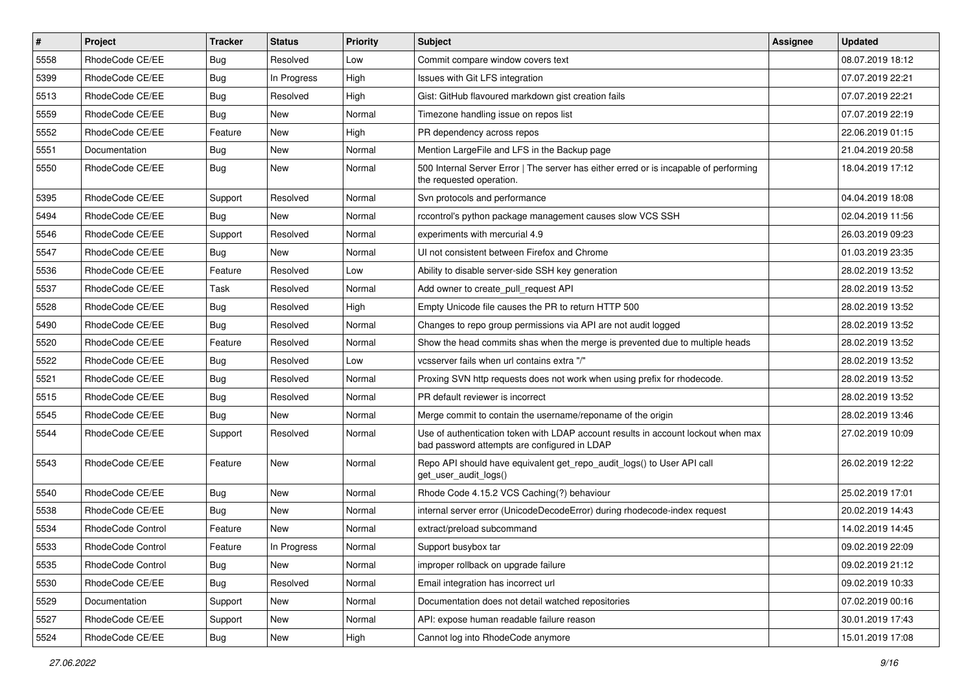| $\pmb{\#}$ | Project           | <b>Tracker</b> | <b>Status</b> | <b>Priority</b> | <b>Subject</b>                                                                                                                    | <b>Assignee</b> | <b>Updated</b>   |
|------------|-------------------|----------------|---------------|-----------------|-----------------------------------------------------------------------------------------------------------------------------------|-----------------|------------------|
| 5558       | RhodeCode CE/EE   | <b>Bug</b>     | Resolved      | Low             | Commit compare window covers text                                                                                                 |                 | 08.07.2019 18:12 |
| 5399       | RhodeCode CE/EE   | Bug            | In Progress   | High            | Issues with Git LFS integration                                                                                                   |                 | 07.07.2019 22:21 |
| 5513       | RhodeCode CE/EE   | Bug            | Resolved      | High            | Gist: GitHub flavoured markdown gist creation fails                                                                               |                 | 07.07.2019 22:21 |
| 5559       | RhodeCode CE/EE   | Bug            | New           | Normal          | Timezone handling issue on repos list                                                                                             |                 | 07.07.2019 22:19 |
| 5552       | RhodeCode CE/EE   | Feature        | <b>New</b>    | High            | PR dependency across repos                                                                                                        |                 | 22.06.2019 01:15 |
| 5551       | Documentation     | Bug            | New           | Normal          | Mention LargeFile and LFS in the Backup page                                                                                      |                 | 21.04.2019 20:58 |
| 5550       | RhodeCode CE/EE   | Bug            | New           | Normal          | 500 Internal Server Error   The server has either erred or is incapable of performing<br>the requested operation.                 |                 | 18.04.2019 17:12 |
| 5395       | RhodeCode CE/EE   | Support        | Resolved      | Normal          | Svn protocols and performance                                                                                                     |                 | 04.04.2019 18:08 |
| 5494       | RhodeCode CE/EE   | Bug            | <b>New</b>    | Normal          | rccontrol's python package management causes slow VCS SSH                                                                         |                 | 02.04.2019 11:56 |
| 5546       | RhodeCode CE/EE   | Support        | Resolved      | Normal          | experiments with mercurial 4.9                                                                                                    |                 | 26.03.2019 09:23 |
| 5547       | RhodeCode CE/EE   | Bug            | <b>New</b>    | Normal          | UI not consistent between Firefox and Chrome                                                                                      |                 | 01.03.2019 23:35 |
| 5536       | RhodeCode CE/EE   | Feature        | Resolved      | Low             | Ability to disable server-side SSH key generation                                                                                 |                 | 28.02.2019 13:52 |
| 5537       | RhodeCode CE/EE   | Task           | Resolved      | Normal          | Add owner to create pull request API                                                                                              |                 | 28.02.2019 13:52 |
| 5528       | RhodeCode CE/EE   | Bug            | Resolved      | High            | Empty Unicode file causes the PR to return HTTP 500                                                                               |                 | 28.02.2019 13:52 |
| 5490       | RhodeCode CE/EE   | Bug            | Resolved      | Normal          | Changes to repo group permissions via API are not audit logged                                                                    |                 | 28.02.2019 13:52 |
| 5520       | RhodeCode CE/EE   | Feature        | Resolved      | Normal          | Show the head commits shas when the merge is prevented due to multiple heads                                                      |                 | 28.02.2019 13:52 |
| 5522       | RhodeCode CE/EE   | Bug            | Resolved      | Low             | vcsserver fails when url contains extra "/"                                                                                       |                 | 28.02.2019 13:52 |
| 5521       | RhodeCode CE/EE   | Bug            | Resolved      | Normal          | Proxing SVN http requests does not work when using prefix for rhodecode.                                                          |                 | 28.02.2019 13:52 |
| 5515       | RhodeCode CE/EE   | <b>Bug</b>     | Resolved      | Normal          | PR default reviewer is incorrect                                                                                                  |                 | 28.02.2019 13:52 |
| 5545       | RhodeCode CE/EE   | Bug            | <b>New</b>    | Normal          | Merge commit to contain the username/reponame of the origin                                                                       |                 | 28.02.2019 13:46 |
| 5544       | RhodeCode CE/EE   | Support        | Resolved      | Normal          | Use of authentication token with LDAP account results in account lockout when max<br>bad password attempts are configured in LDAP |                 | 27.02.2019 10:09 |
| 5543       | RhodeCode CE/EE   | Feature        | New           | Normal          | Repo API should have equivalent get_repo_audit_logs() to User API call<br>get_user_audit_logs()                                   |                 | 26.02.2019 12:22 |
| 5540       | RhodeCode CE/EE   | Bug            | <b>New</b>    | Normal          | Rhode Code 4.15.2 VCS Caching(?) behaviour                                                                                        |                 | 25.02.2019 17:01 |
| 5538       | RhodeCode CE/EE   | <b>Bug</b>     | New           | Normal          | internal server error (UnicodeDecodeError) during rhodecode-index request                                                         |                 | 20.02.2019 14:43 |
| 5534       | RhodeCode Control | Feature        | New           | Normal          | extract/preload subcommand                                                                                                        |                 | 14.02.2019 14:45 |
| 5533       | RhodeCode Control | Feature        | In Progress   | Normal          | Support busybox tar                                                                                                               |                 | 09.02.2019 22:09 |
| 5535       | RhodeCode Control | <b>Bug</b>     | New           | Normal          | improper rollback on upgrade failure                                                                                              |                 | 09.02.2019 21:12 |
| 5530       | RhodeCode CE/EE   | <b>Bug</b>     | Resolved      | Normal          | Email integration has incorrect url                                                                                               |                 | 09.02.2019 10:33 |
| 5529       | Documentation     | Support        | New           | Normal          | Documentation does not detail watched repositories                                                                                |                 | 07.02.2019 00:16 |
| 5527       | RhodeCode CE/EE   | Support        | New           | Normal          | API: expose human readable failure reason                                                                                         |                 | 30.01.2019 17:43 |
| 5524       | RhodeCode CE/EE   | Bug            | New           | High            | Cannot log into RhodeCode anymore                                                                                                 |                 | 15.01.2019 17:08 |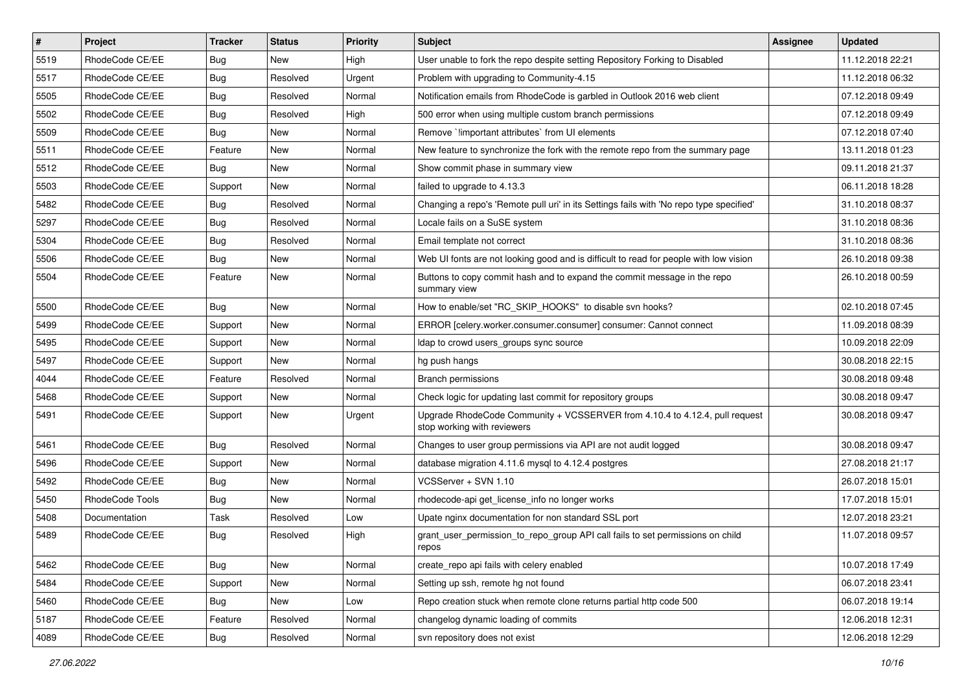| $\vert$ # | Project         | <b>Tracker</b> | <b>Status</b> | <b>Priority</b> | <b>Subject</b>                                                                                             | <b>Assignee</b> | <b>Updated</b>   |
|-----------|-----------------|----------------|---------------|-----------------|------------------------------------------------------------------------------------------------------------|-----------------|------------------|
| 5519      | RhodeCode CE/EE | <b>Bug</b>     | New           | High            | User unable to fork the repo despite setting Repository Forking to Disabled                                |                 | 11.12.2018 22:21 |
| 5517      | RhodeCode CE/EE | <b>Bug</b>     | Resolved      | Urgent          | Problem with upgrading to Community-4.15                                                                   |                 | 11.12.2018 06:32 |
| 5505      | RhodeCode CE/EE | <b>Bug</b>     | Resolved      | Normal          | Notification emails from RhodeCode is garbled in Outlook 2016 web client                                   |                 | 07.12.2018 09:49 |
| 5502      | RhodeCode CE/EE | <b>Bug</b>     | Resolved      | High            | 500 error when using multiple custom branch permissions                                                    |                 | 07.12.2018 09:49 |
| 5509      | RhodeCode CE/EE | <b>Bug</b>     | New           | Normal          | Remove `limportant attributes` from UI elements                                                            |                 | 07.12.2018 07:40 |
| 5511      | RhodeCode CE/EE | Feature        | New           | Normal          | New feature to synchronize the fork with the remote repo from the summary page                             |                 | 13.11.2018 01:23 |
| 5512      | RhodeCode CE/EE | Bug            | New           | Normal          | Show commit phase in summary view                                                                          |                 | 09.11.2018 21:37 |
| 5503      | RhodeCode CE/EE | Support        | New           | Normal          | failed to upgrade to 4.13.3                                                                                |                 | 06.11.2018 18:28 |
| 5482      | RhodeCode CE/EE | <b>Bug</b>     | Resolved      | Normal          | Changing a repo's 'Remote pull uri' in its Settings fails with 'No repo type specified'                    |                 | 31.10.2018 08:37 |
| 5297      | RhodeCode CE/EE | Bug            | Resolved      | Normal          | Locale fails on a SuSE system                                                                              |                 | 31.10.2018 08:36 |
| 5304      | RhodeCode CE/EE | <b>Bug</b>     | Resolved      | Normal          | Email template not correct                                                                                 |                 | 31.10.2018 08:36 |
| 5506      | RhodeCode CE/EE | Bug            | New           | Normal          | Web UI fonts are not looking good and is difficult to read for people with low vision                      |                 | 26.10.2018 09:38 |
| 5504      | RhodeCode CE/EE | Feature        | <b>New</b>    | Normal          | Buttons to copy commit hash and to expand the commit message in the repo<br>summary view                   |                 | 26.10.2018 00:59 |
| 5500      | RhodeCode CE/EE | Bug            | <b>New</b>    | Normal          | How to enable/set "RC_SKIP_HOOKS" to disable svn hooks?                                                    |                 | 02.10.2018 07:45 |
| 5499      | RhodeCode CE/EE | Support        | New           | Normal          | ERROR [celery.worker.consumer.consumer] consumer: Cannot connect                                           |                 | 11.09.2018 08:39 |
| 5495      | RhodeCode CE/EE | Support        | New           | Normal          | Idap to crowd users_groups sync source                                                                     |                 | 10.09.2018 22:09 |
| 5497      | RhodeCode CE/EE | Support        | New           | Normal          | hg push hangs                                                                                              |                 | 30.08.2018 22:15 |
| 4044      | RhodeCode CE/EE | Feature        | Resolved      | Normal          | Branch permissions                                                                                         |                 | 30.08.2018 09:48 |
| 5468      | RhodeCode CE/EE | Support        | New           | Normal          | Check logic for updating last commit for repository groups                                                 |                 | 30.08.2018 09:47 |
| 5491      | RhodeCode CE/EE | Support        | New           | Urgent          | Upgrade RhodeCode Community + VCSSERVER from 4.10.4 to 4.12.4, pull request<br>stop working with reviewers |                 | 30.08.2018 09:47 |
| 5461      | RhodeCode CE/EE | Bug            | Resolved      | Normal          | Changes to user group permissions via API are not audit logged                                             |                 | 30.08.2018 09:47 |
| 5496      | RhodeCode CE/EE | Support        | New           | Normal          | database migration 4.11.6 mysql to 4.12.4 postgres                                                         |                 | 27.08.2018 21:17 |
| 5492      | RhodeCode CE/EE | <b>Bug</b>     | New           | Normal          | VCSServer + SVN 1.10                                                                                       |                 | 26.07.2018 15:01 |
| 5450      | RhodeCode Tools | Bug            | New           | Normal          | rhodecode-api get_license_info no longer works                                                             |                 | 17.07.2018 15:01 |
| 5408      | Documentation   | Task           | Resolved      | Low             | Upate nginx documentation for non standard SSL port                                                        |                 | 12.07.2018 23:21 |
| 5489      | RhodeCode CE/EE | Bug            | Resolved      | High            | grant_user_permission_to_repo_group API call fails to set permissions on child<br>repos                    |                 | 11.07.2018 09:57 |
| 5462      | RhodeCode CE/EE | Bug            | New           | Normal          | create repo api fails with celery enabled                                                                  |                 | 10.07.2018 17:49 |
| 5484      | RhodeCode CE/EE | Support        | New           | Normal          | Setting up ssh, remote hg not found                                                                        |                 | 06.07.2018 23:41 |
| 5460      | RhodeCode CE/EE | <b>Bug</b>     | New           | Low             | Repo creation stuck when remote clone returns partial http code 500                                        |                 | 06.07.2018 19:14 |
| 5187      | RhodeCode CE/EE | Feature        | Resolved      | Normal          | changelog dynamic loading of commits                                                                       |                 | 12.06.2018 12:31 |
| 4089      | RhodeCode CE/EE | <b>Bug</b>     | Resolved      | Normal          | svn repository does not exist                                                                              |                 | 12.06.2018 12:29 |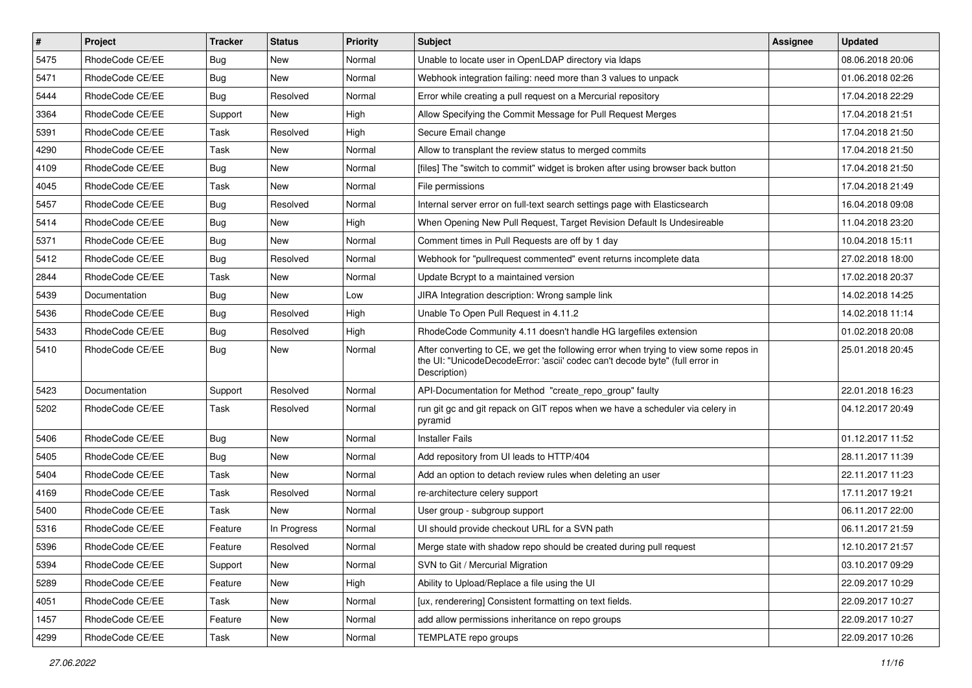| $\vert$ # | Project         | <b>Tracker</b> | <b>Status</b> | Priority | <b>Subject</b>                                                                                                                                                                       | <b>Assignee</b> | <b>Updated</b>   |
|-----------|-----------------|----------------|---------------|----------|--------------------------------------------------------------------------------------------------------------------------------------------------------------------------------------|-----------------|------------------|
| 5475      | RhodeCode CE/EE | Bug            | New           | Normal   | Unable to locate user in OpenLDAP directory via Idaps                                                                                                                                |                 | 08.06.2018 20:06 |
| 5471      | RhodeCode CE/EE | Bug            | <b>New</b>    | Normal   | Webhook integration failing: need more than 3 values to unpack                                                                                                                       |                 | 01.06.2018 02:26 |
| 5444      | RhodeCode CE/EE | <b>Bug</b>     | Resolved      | Normal   | Error while creating a pull request on a Mercurial repository                                                                                                                        |                 | 17.04.2018 22:29 |
| 3364      | RhodeCode CE/EE | Support        | New           | High     | Allow Specifying the Commit Message for Pull Request Merges                                                                                                                          |                 | 17.04.2018 21:51 |
| 5391      | RhodeCode CE/EE | Task           | Resolved      | High     | Secure Email change                                                                                                                                                                  |                 | 17.04.2018 21:50 |
| 4290      | RhodeCode CE/EE | Task           | New           | Normal   | Allow to transplant the review status to merged commits                                                                                                                              |                 | 17.04.2018 21:50 |
| 4109      | RhodeCode CE/EE | Bug            | <b>New</b>    | Normal   | [files] The "switch to commit" widget is broken after using browser back button                                                                                                      |                 | 17.04.2018 21:50 |
| 4045      | RhodeCode CE/EE | Task           | New           | Normal   | File permissions                                                                                                                                                                     |                 | 17.04.2018 21:49 |
| 5457      | RhodeCode CE/EE | Bug            | Resolved      | Normal   | Internal server error on full-text search settings page with Elasticsearch                                                                                                           |                 | 16.04.2018 09:08 |
| 5414      | RhodeCode CE/EE | Bug            | New           | High     | When Opening New Pull Request, Target Revision Default Is Undesireable                                                                                                               |                 | 11.04.2018 23:20 |
| 5371      | RhodeCode CE/EE | Bug            | New           | Normal   | Comment times in Pull Requests are off by 1 day                                                                                                                                      |                 | 10.04.2018 15:11 |
| 5412      | RhodeCode CE/EE | Bug            | Resolved      | Normal   | Webhook for "pullrequest commented" event returns incomplete data                                                                                                                    |                 | 27.02.2018 18:00 |
| 2844      | RhodeCode CE/EE | Task           | New           | Normal   | Update Bcrypt to a maintained version                                                                                                                                                |                 | 17.02.2018 20:37 |
| 5439      | Documentation   | <b>Bug</b>     | New           | Low      | JIRA Integration description: Wrong sample link                                                                                                                                      |                 | 14.02.2018 14:25 |
| 5436      | RhodeCode CE/EE | <b>Bug</b>     | Resolved      | High     | Unable To Open Pull Request in 4.11.2                                                                                                                                                |                 | 14.02.2018 11:14 |
| 5433      | RhodeCode CE/EE | <b>Bug</b>     | Resolved      | High     | RhodeCode Community 4.11 doesn't handle HG largefiles extension                                                                                                                      |                 | 01.02.2018 20:08 |
| 5410      | RhodeCode CE/EE | Bug            | New           | Normal   | After converting to CE, we get the following error when trying to view some repos in<br>the UI: "UnicodeDecodeError: 'ascii' codec can't decode byte" (full error in<br>Description) |                 | 25.01.2018 20:45 |
| 5423      | Documentation   | Support        | Resolved      | Normal   | API-Documentation for Method "create_repo_group" faulty                                                                                                                              |                 | 22.01.2018 16:23 |
| 5202      | RhodeCode CE/EE | Task           | Resolved      | Normal   | run git gc and git repack on GIT repos when we have a scheduler via celery in<br>pyramid                                                                                             |                 | 04.12.2017 20:49 |
| 5406      | RhodeCode CE/EE | Bug            | <b>New</b>    | Normal   | <b>Installer Fails</b>                                                                                                                                                               |                 | 01.12.2017 11:52 |
| 5405      | RhodeCode CE/EE | Bug            | New           | Normal   | Add repository from UI leads to HTTP/404                                                                                                                                             |                 | 28.11.2017 11:39 |
| 5404      | RhodeCode CE/EE | Task           | <b>New</b>    | Normal   | Add an option to detach review rules when deleting an user                                                                                                                           |                 | 22.11.2017 11:23 |
| 4169      | RhodeCode CE/EE | Task           | Resolved      | Normal   | re-architecture celery support                                                                                                                                                       |                 | 17.11.2017 19:21 |
| 5400      | RhodeCode CE/EE | Task           | New           | Normal   | User group - subgroup support                                                                                                                                                        |                 | 06.11.2017 22:00 |
| 5316      | RhodeCode CE/EE | Feature        | In Progress   | Normal   | UI should provide checkout URL for a SVN path                                                                                                                                        |                 | 06.11.2017 21:59 |
| 5396      | RhodeCode CE/EE | Feature        | Resolved      | Normal   | Merge state with shadow repo should be created during pull request                                                                                                                   |                 | 12.10.2017 21:57 |
| 5394      | RhodeCode CE/EE | Support        | New           | Normal   | SVN to Git / Mercurial Migration                                                                                                                                                     |                 | 03.10.2017 09:29 |
| 5289      | RhodeCode CE/EE | Feature        | New           | High     | Ability to Upload/Replace a file using the UI                                                                                                                                        |                 | 22.09.2017 10:29 |
| 4051      | RhodeCode CE/EE | Task           | New           | Normal   | [ux, renderering] Consistent formatting on text fields.                                                                                                                              |                 | 22.09.2017 10:27 |
| 1457      | RhodeCode CE/EE | Feature        | New           | Normal   | add allow permissions inheritance on repo groups                                                                                                                                     |                 | 22.09.2017 10:27 |
| 4299      | RhodeCode CE/EE | Task           | New           | Normal   | TEMPLATE repo groups                                                                                                                                                                 |                 | 22.09.2017 10:26 |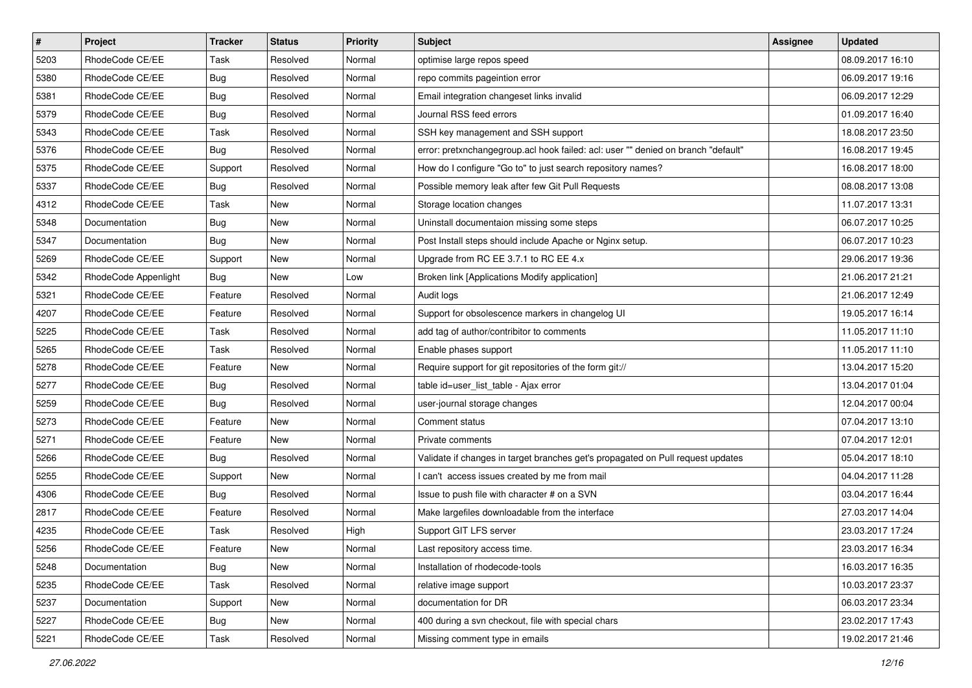| $\pmb{\#}$ | Project              | <b>Tracker</b> | <b>Status</b> | Priority | Subject                                                                           | Assignee | <b>Updated</b>   |
|------------|----------------------|----------------|---------------|----------|-----------------------------------------------------------------------------------|----------|------------------|
| 5203       | RhodeCode CE/EE      | Task           | Resolved      | Normal   | optimise large repos speed                                                        |          | 08.09.2017 16:10 |
| 5380       | RhodeCode CE/EE      | <b>Bug</b>     | Resolved      | Normal   | repo commits pageintion error                                                     |          | 06.09.2017 19:16 |
| 5381       | RhodeCode CE/EE      | <b>Bug</b>     | Resolved      | Normal   | Email integration changeset links invalid                                         |          | 06.09.2017 12:29 |
| 5379       | RhodeCode CE/EE      | <b>Bug</b>     | Resolved      | Normal   | Journal RSS feed errors                                                           |          | 01.09.2017 16:40 |
| 5343       | RhodeCode CE/EE      | Task           | Resolved      | Normal   | SSH key management and SSH support                                                |          | 18.08.2017 23:50 |
| 5376       | RhodeCode CE/EE      | <b>Bug</b>     | Resolved      | Normal   | error: pretxnchangegroup.acl hook failed: acl: user "" denied on branch "default" |          | 16.08.2017 19:45 |
| 5375       | RhodeCode CE/EE      | Support        | Resolved      | Normal   | How do I configure "Go to" to just search repository names?                       |          | 16.08.2017 18:00 |
| 5337       | RhodeCode CE/EE      | Bug            | Resolved      | Normal   | Possible memory leak after few Git Pull Requests                                  |          | 08.08.2017 13:08 |
| 4312       | RhodeCode CE/EE      | Task           | New           | Normal   | Storage location changes                                                          |          | 11.07.2017 13:31 |
| 5348       | Documentation        | <b>Bug</b>     | <b>New</b>    | Normal   | Uninstall documentaion missing some steps                                         |          | 06.07.2017 10:25 |
| 5347       | Documentation        | <b>Bug</b>     | New           | Normal   | Post Install steps should include Apache or Nginx setup.                          |          | 06.07.2017 10:23 |
| 5269       | RhodeCode CE/EE      | Support        | New           | Normal   | Upgrade from RC EE 3.7.1 to RC EE 4.x                                             |          | 29.06.2017 19:36 |
| 5342       | RhodeCode Appenlight | Bug            | <b>New</b>    | Low      | Broken link [Applications Modify application]                                     |          | 21.06.2017 21:21 |
| 5321       | RhodeCode CE/EE      | Feature        | Resolved      | Normal   | Audit logs                                                                        |          | 21.06.2017 12:49 |
| 4207       | RhodeCode CE/EE      | Feature        | Resolved      | Normal   | Support for obsolescence markers in changelog UI                                  |          | 19.05.2017 16:14 |
| 5225       | RhodeCode CE/EE      | Task           | Resolved      | Normal   | add tag of author/contribitor to comments                                         |          | 11.05.2017 11:10 |
| 5265       | RhodeCode CE/EE      | Task           | Resolved      | Normal   | Enable phases support                                                             |          | 11.05.2017 11:10 |
| 5278       | RhodeCode CE/EE      | Feature        | <b>New</b>    | Normal   | Require support for git repositories of the form git://                           |          | 13.04.2017 15:20 |
| 5277       | RhodeCode CE/EE      | <b>Bug</b>     | Resolved      | Normal   | table id=user_list_table - Ajax error                                             |          | 13.04.2017 01:04 |
| 5259       | RhodeCode CE/EE      | <b>Bug</b>     | Resolved      | Normal   | user-journal storage changes                                                      |          | 12.04.2017 00:04 |
| 5273       | RhodeCode CE/EE      | Feature        | New           | Normal   | Comment status                                                                    |          | 07.04.2017 13:10 |
| 5271       | RhodeCode CE/EE      | Feature        | New           | Normal   | Private comments                                                                  |          | 07.04.2017 12:01 |
| 5266       | RhodeCode CE/EE      | Bug            | Resolved      | Normal   | Validate if changes in target branches get's propagated on Pull request updates   |          | 05.04.2017 18:10 |
| 5255       | RhodeCode CE/EE      | Support        | New           | Normal   | I can't access issues created by me from mail                                     |          | 04.04.2017 11:28 |
| 4306       | RhodeCode CE/EE      | <b>Bug</b>     | Resolved      | Normal   | Issue to push file with character # on a SVN                                      |          | 03.04.2017 16:44 |
| 2817       | RhodeCode CE/EE      | Feature        | Resolved      | Normal   | Make largefiles downloadable from the interface                                   |          | 27.03.2017 14:04 |
| 4235       | RhodeCode CE/EE      | Task           | Resolved      | High     | Support GIT LFS server                                                            |          | 23.03.2017 17:24 |
| 5256       | RhodeCode CE/EE      | Feature        | New           | Normal   | Last repository access time.                                                      |          | 23.03.2017 16:34 |
| 5248       | Documentation        | Bug            | New           | Normal   | Installation of rhodecode-tools                                                   |          | 16.03.2017 16:35 |
| 5235       | RhodeCode CE/EE      | Task           | Resolved      | Normal   | relative image support                                                            |          | 10.03.2017 23:37 |
| 5237       | Documentation        | Support        | New           | Normal   | documentation for DR                                                              |          | 06.03.2017 23:34 |
| 5227       | RhodeCode CE/EE      | <b>Bug</b>     | New           | Normal   | 400 during a svn checkout, file with special chars                                |          | 23.02.2017 17:43 |
| 5221       | RhodeCode CE/EE      | Task           | Resolved      | Normal   | Missing comment type in emails                                                    |          | 19.02.2017 21:46 |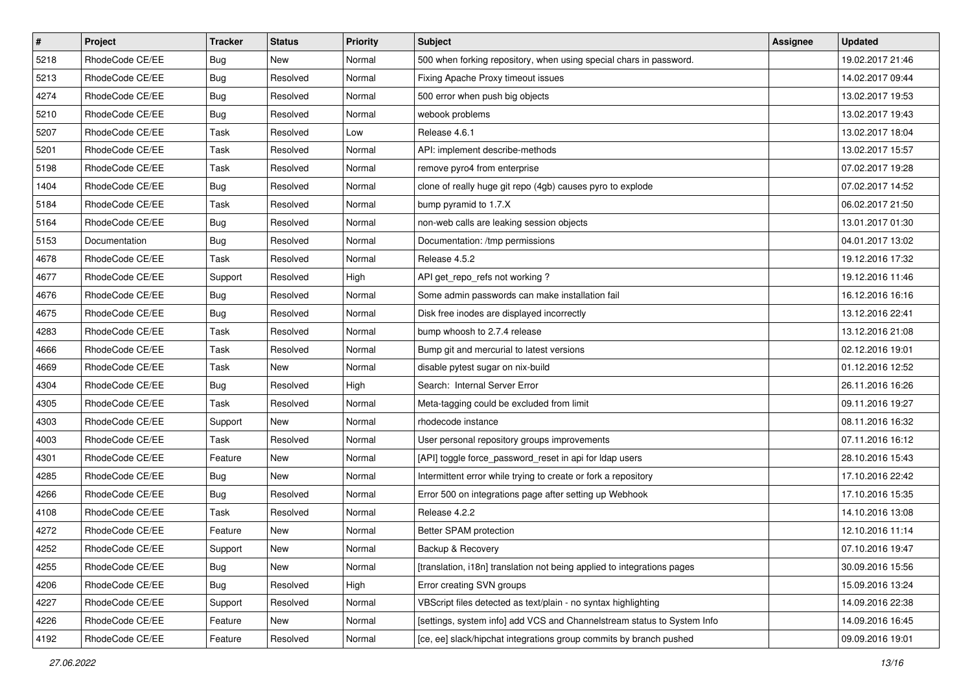| $\pmb{\#}$ | Project         | <b>Tracker</b> | <b>Status</b> | <b>Priority</b> | <b>Subject</b>                                                          | Assignee | <b>Updated</b>   |
|------------|-----------------|----------------|---------------|-----------------|-------------------------------------------------------------------------|----------|------------------|
| 5218       | RhodeCode CE/EE | Bug            | <b>New</b>    | Normal          | 500 when forking repository, when using special chars in password.      |          | 19.02.2017 21:46 |
| 5213       | RhodeCode CE/EE | Bug            | Resolved      | Normal          | Fixing Apache Proxy timeout issues                                      |          | 14.02.2017 09:44 |
| 4274       | RhodeCode CE/EE | Bug            | Resolved      | Normal          | 500 error when push big objects                                         |          | 13.02.2017 19:53 |
| 5210       | RhodeCode CE/EE | Bug            | Resolved      | Normal          | webook problems                                                         |          | 13.02.2017 19:43 |
| 5207       | RhodeCode CE/EE | Task           | Resolved      | Low             | Release 4.6.1                                                           |          | 13.02.2017 18:04 |
| 5201       | RhodeCode CE/EE | Task           | Resolved      | Normal          | API: implement describe-methods                                         |          | 13.02.2017 15:57 |
| 5198       | RhodeCode CE/EE | Task           | Resolved      | Normal          | remove pyro4 from enterprise                                            |          | 07.02.2017 19:28 |
| 1404       | RhodeCode CE/EE | Bug            | Resolved      | Normal          | clone of really huge git repo (4gb) causes pyro to explode              |          | 07.02.2017 14:52 |
| 5184       | RhodeCode CE/EE | Task           | Resolved      | Normal          | bump pyramid to 1.7.X                                                   |          | 06.02.2017 21:50 |
| 5164       | RhodeCode CE/EE | Bug            | Resolved      | Normal          | non-web calls are leaking session objects                               |          | 13.01.2017 01:30 |
| 5153       | Documentation   | Bug            | Resolved      | Normal          | Documentation: /tmp permissions                                         |          | 04.01.2017 13:02 |
| 4678       | RhodeCode CE/EE | Task           | Resolved      | Normal          | Release 4.5.2                                                           |          | 19.12.2016 17:32 |
| 4677       | RhodeCode CE/EE | Support        | Resolved      | High            | API get_repo_refs not working?                                          |          | 19.12.2016 11:46 |
| 4676       | RhodeCode CE/EE | Bug            | Resolved      | Normal          | Some admin passwords can make installation fail                         |          | 16.12.2016 16:16 |
| 4675       | RhodeCode CE/EE | Bug            | Resolved      | Normal          | Disk free inodes are displayed incorrectly                              |          | 13.12.2016 22:41 |
| 4283       | RhodeCode CE/EE | Task           | Resolved      | Normal          | bump whoosh to 2.7.4 release                                            |          | 13.12.2016 21:08 |
| 4666       | RhodeCode CE/EE | Task           | Resolved      | Normal          | Bump git and mercurial to latest versions                               |          | 02.12.2016 19:01 |
| 4669       | RhodeCode CE/EE | Task           | <b>New</b>    | Normal          | disable pytest sugar on nix-build                                       |          | 01.12.2016 12:52 |
| 4304       | RhodeCode CE/EE | Bug            | Resolved      | High            | Search: Internal Server Error                                           |          | 26.11.2016 16:26 |
| 4305       | RhodeCode CE/EE | Task           | Resolved      | Normal          | Meta-tagging could be excluded from limit                               |          | 09.11.2016 19:27 |
| 4303       | RhodeCode CE/EE | Support        | <b>New</b>    | Normal          | rhodecode instance                                                      |          | 08.11.2016 16:32 |
| 4003       | RhodeCode CE/EE | Task           | Resolved      | Normal          | User personal repository groups improvements                            |          | 07.11.2016 16:12 |
| 4301       | RhodeCode CE/EE | Feature        | New           | Normal          | [API] toggle force_password_reset in api for Idap users                 |          | 28.10.2016 15:43 |
| 4285       | RhodeCode CE/EE | Bug            | <b>New</b>    | Normal          | Intermittent error while trying to create or fork a repository          |          | 17.10.2016 22:42 |
| 4266       | RhodeCode CE/EE | <b>Bug</b>     | Resolved      | Normal          | Error 500 on integrations page after setting up Webhook                 |          | 17.10.2016 15:35 |
| 4108       | RhodeCode CE/EE | Task           | Resolved      | Normal          | Release 4.2.2                                                           |          | 14.10.2016 13:08 |
| 4272       | RhodeCode CE/EE | Feature        | New           | Normal          | Better SPAM protection                                                  |          | 12.10.2016 11:14 |
| 4252       | RhodeCode CE/EE | Support        | New           | Normal          | Backup & Recovery                                                       |          | 07.10.2016 19:47 |
| 4255       | RhodeCode CE/EE | <b>Bug</b>     | New           | Normal          | [translation, i18n] translation not being applied to integrations pages |          | 30.09.2016 15:56 |
| 4206       | RhodeCode CE/EE | <b>Bug</b>     | Resolved      | High            | Error creating SVN groups                                               |          | 15.09.2016 13:24 |
| 4227       | RhodeCode CE/EE | Support        | Resolved      | Normal          | VBScript files detected as text/plain - no syntax highlighting          |          | 14.09.2016 22:38 |
| 4226       | RhodeCode CE/EE | Feature        | New           | Normal          | [settings, system info] add VCS and Channelstream status to System Info |          | 14.09.2016 16:45 |
| 4192       | RhodeCode CE/EE | Feature        | Resolved      | Normal          | [ce, ee] slack/hipchat integrations group commits by branch pushed      |          | 09.09.2016 19:01 |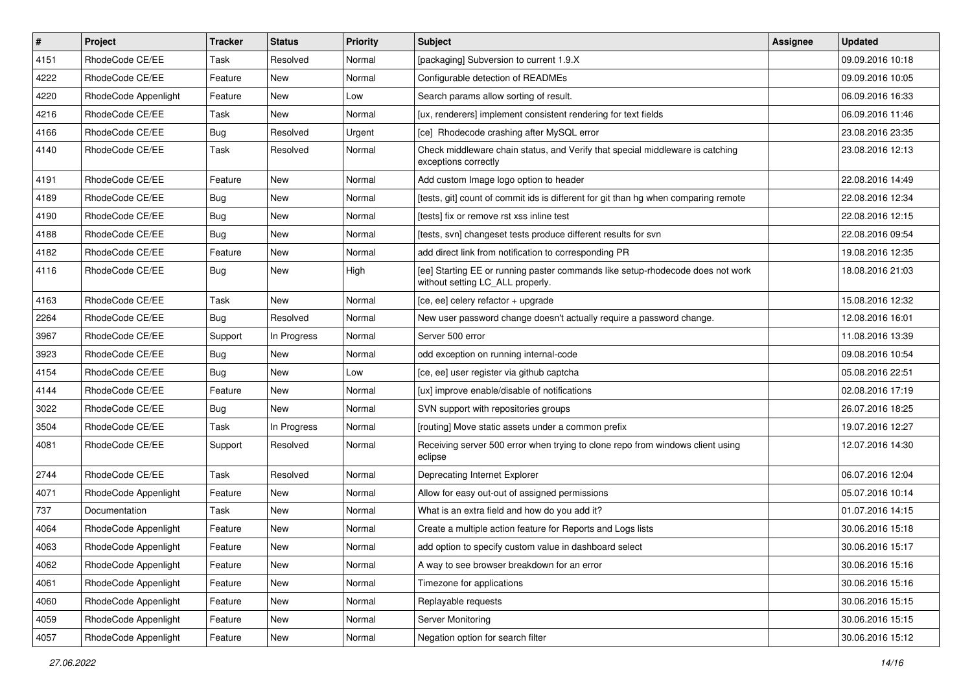| $\pmb{\#}$ | Project              | <b>Tracker</b> | <b>Status</b> | Priority | Subject                                                                                                            | Assignee | <b>Updated</b>   |
|------------|----------------------|----------------|---------------|----------|--------------------------------------------------------------------------------------------------------------------|----------|------------------|
| 4151       | RhodeCode CE/EE      | Task           | Resolved      | Normal   | [packaging] Subversion to current 1.9.X                                                                            |          | 09.09.2016 10:18 |
| 4222       | RhodeCode CE/EE      | Feature        | <b>New</b>    | Normal   | Configurable detection of READMEs                                                                                  |          | 09.09.2016 10:05 |
| 4220       | RhodeCode Appenlight | Feature        | New           | Low      | Search params allow sorting of result.                                                                             |          | 06.09.2016 16:33 |
| 4216       | RhodeCode CE/EE      | Task           | New           | Normal   | [ux, renderers] implement consistent rendering for text fields                                                     |          | 06.09.2016 11:46 |
| 4166       | RhodeCode CE/EE      | Bug            | Resolved      | Urgent   | [ce] Rhodecode crashing after MySQL error                                                                          |          | 23.08.2016 23:35 |
| 4140       | RhodeCode CE/EE      | Task           | Resolved      | Normal   | Check middleware chain status, and Verify that special middleware is catching<br>exceptions correctly              |          | 23.08.2016 12:13 |
| 4191       | RhodeCode CE/EE      | Feature        | <b>New</b>    | Normal   | Add custom Image logo option to header                                                                             |          | 22.08.2016 14:49 |
| 4189       | RhodeCode CE/EE      | Bug            | New           | Normal   | [tests, git] count of commit ids is different for git than hg when comparing remote                                |          | 22.08.2016 12:34 |
| 4190       | RhodeCode CE/EE      | Bug            | New           | Normal   | [tests] fix or remove rst xss inline test                                                                          |          | 22.08.2016 12:15 |
| 4188       | RhodeCode CE/EE      | <b>Bug</b>     | New           | Normal   | [tests, svn] changeset tests produce different results for svn                                                     |          | 22.08.2016 09:54 |
| 4182       | RhodeCode CE/EE      | Feature        | New           | Normal   | add direct link from notification to corresponding PR                                                              |          | 19.08.2016 12:35 |
| 4116       | RhodeCode CE/EE      | Bug            | New           | High     | [ee] Starting EE or running paster commands like setup-rhodecode does not work<br>without setting LC_ALL properly. |          | 18.08.2016 21:03 |
| 4163       | RhodeCode CE/EE      | Task           | <b>New</b>    | Normal   | [ce, ee] celery refactor + upgrade                                                                                 |          | 15.08.2016 12:32 |
| 2264       | RhodeCode CE/EE      | Bug            | Resolved      | Normal   | New user password change doesn't actually require a password change.                                               |          | 12.08.2016 16:01 |
| 3967       | RhodeCode CE/EE      | Support        | In Progress   | Normal   | Server 500 error                                                                                                   |          | 11.08.2016 13:39 |
| 3923       | RhodeCode CE/EE      | Bug            | <b>New</b>    | Normal   | odd exception on running internal-code                                                                             |          | 09.08.2016 10:54 |
| 4154       | RhodeCode CE/EE      | <b>Bug</b>     | New           | Low      | [ce, ee] user register via github captcha                                                                          |          | 05.08.2016 22:51 |
| 4144       | RhodeCode CE/EE      | Feature        | New           | Normal   | [ux] improve enable/disable of notifications                                                                       |          | 02.08.2016 17:19 |
| 3022       | RhodeCode CE/EE      | <b>Bug</b>     | <b>New</b>    | Normal   | SVN support with repositories groups                                                                               |          | 26.07.2016 18:25 |
| 3504       | RhodeCode CE/EE      | Task           | In Progress   | Normal   | [routing] Move static assets under a common prefix                                                                 |          | 19.07.2016 12:27 |
| 4081       | RhodeCode CE/EE      | Support        | Resolved      | Normal   | Receiving server 500 error when trying to clone repo from windows client using<br>eclipse                          |          | 12.07.2016 14:30 |
| 2744       | RhodeCode CE/EE      | Task           | Resolved      | Normal   | Deprecating Internet Explorer                                                                                      |          | 06.07.2016 12:04 |
| 4071       | RhodeCode Appenlight | Feature        | <b>New</b>    | Normal   | Allow for easy out-out of assigned permissions                                                                     |          | 05.07.2016 10:14 |
| 737        | Documentation        | Task           | New           | Normal   | What is an extra field and how do you add it?                                                                      |          | 01.07.2016 14:15 |
| 4064       | RhodeCode Appenlight | Feature        | New           | Normal   | Create a multiple action feature for Reports and Logs lists                                                        |          | 30.06.2016 15:18 |
| 4063       | RhodeCode Appenlight | Feature        | New           | Normal   | add option to specify custom value in dashboard select                                                             |          | 30.06.2016 15:17 |
| 4062       | RhodeCode Appenlight | Feature        | New           | Normal   | A way to see browser breakdown for an error                                                                        |          | 30.06.2016 15:16 |
| 4061       | RhodeCode Appenlight | Feature        | New           | Normal   | Timezone for applications                                                                                          |          | 30.06.2016 15:16 |
| 4060       | RhodeCode Appenlight | Feature        | New           | Normal   | Replayable requests                                                                                                |          | 30.06.2016 15:15 |
| 4059       | RhodeCode Appenlight | Feature        | New           | Normal   | Server Monitoring                                                                                                  |          | 30.06.2016 15:15 |
| 4057       | RhodeCode Appenlight | Feature        | New           | Normal   | Negation option for search filter                                                                                  |          | 30.06.2016 15:12 |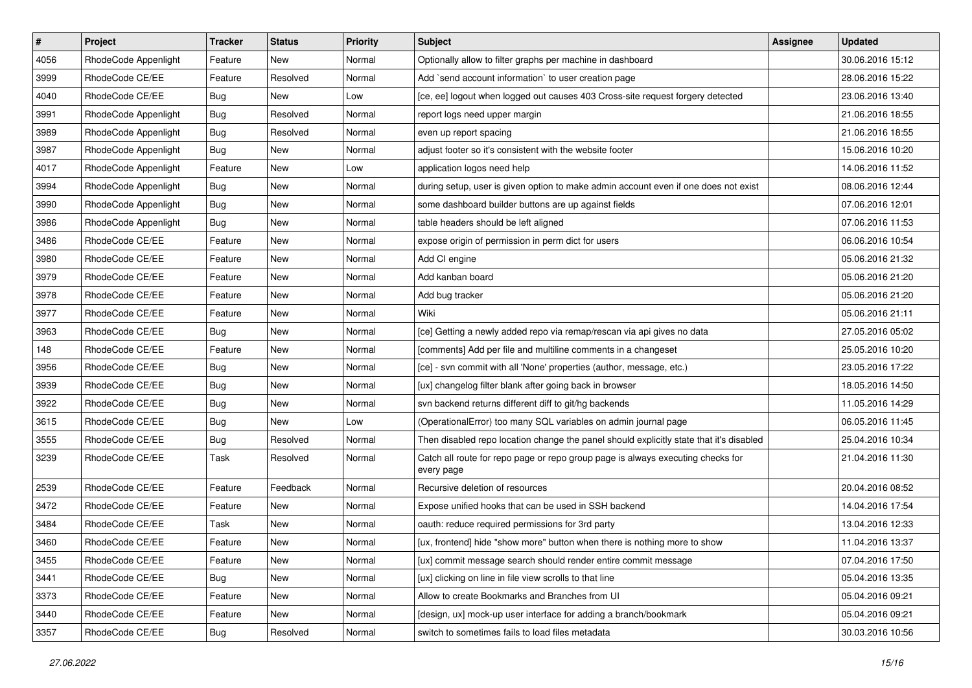| $\pmb{\#}$ | Project              | <b>Tracker</b> | <b>Status</b> | <b>Priority</b> | Subject                                                                                       | <b>Assignee</b> | <b>Updated</b>   |
|------------|----------------------|----------------|---------------|-----------------|-----------------------------------------------------------------------------------------------|-----------------|------------------|
| 4056       | RhodeCode Appenlight | Feature        | New           | Normal          | Optionally allow to filter graphs per machine in dashboard                                    |                 | 30.06.2016 15:12 |
| 3999       | RhodeCode CE/EE      | Feature        | Resolved      | Normal          | Add `send account information` to user creation page                                          |                 | 28.06.2016 15:22 |
| 4040       | RhodeCode CE/EE      | Bug            | New           | Low             | [ce, ee] logout when logged out causes 403 Cross-site request forgery detected                |                 | 23.06.2016 13:40 |
| 3991       | RhodeCode Appenlight | <b>Bug</b>     | Resolved      | Normal          | report logs need upper margin                                                                 |                 | 21.06.2016 18:55 |
| 3989       | RhodeCode Appenlight | Bug            | Resolved      | Normal          | even up report spacing                                                                        |                 | 21.06.2016 18:55 |
| 3987       | RhodeCode Appenlight | Bug            | New           | Normal          | adjust footer so it's consistent with the website footer                                      |                 | 15.06.2016 10:20 |
| 4017       | RhodeCode Appenlight | Feature        | New           | Low             | application logos need help                                                                   |                 | 14.06.2016 11:52 |
| 3994       | RhodeCode Appenlight | <b>Bug</b>     | New           | Normal          | during setup, user is given option to make admin account even if one does not exist           |                 | 08.06.2016 12:44 |
| 3990       | RhodeCode Appenlight | Bug            | New           | Normal          | some dashboard builder buttons are up against fields                                          |                 | 07.06.2016 12:01 |
| 3986       | RhodeCode Appenlight | Bug            | New           | Normal          | table headers should be left aligned                                                          |                 | 07.06.2016 11:53 |
| 3486       | RhodeCode CE/EE      | Feature        | New           | Normal          | expose origin of permission in perm dict for users                                            |                 | 06.06.2016 10:54 |
| 3980       | RhodeCode CE/EE      | Feature        | New           | Normal          | Add CI engine                                                                                 |                 | 05.06.2016 21:32 |
| 3979       | RhodeCode CE/EE      | Feature        | New           | Normal          | Add kanban board                                                                              |                 | 05.06.2016 21:20 |
| 3978       | RhodeCode CE/EE      | Feature        | New           | Normal          | Add bug tracker                                                                               |                 | 05.06.2016 21:20 |
| 3977       | RhodeCode CE/EE      | Feature        | New           | Normal          | Wiki                                                                                          |                 | 05.06.2016 21:11 |
| 3963       | RhodeCode CE/EE      | <b>Bug</b>     | New           | Normal          | [ce] Getting a newly added repo via remap/rescan via api gives no data                        |                 | 27.05.2016 05:02 |
| 148        | RhodeCode CE/EE      | Feature        | New           | Normal          | [comments] Add per file and multiline comments in a changeset                                 |                 | 25.05.2016 10:20 |
| 3956       | RhodeCode CE/EE      | <b>Bug</b>     | New           | Normal          | [ce] - svn commit with all 'None' properties (author, message, etc.)                          |                 | 23.05.2016 17:22 |
| 3939       | RhodeCode CE/EE      | <b>Bug</b>     | New           | Normal          | [ux] changelog filter blank after going back in browser                                       |                 | 18.05.2016 14:50 |
| 3922       | RhodeCode CE/EE      | Bug            | New           | Normal          | svn backend returns different diff to git/hg backends                                         |                 | 11.05.2016 14:29 |
| 3615       | RhodeCode CE/EE      | <b>Bug</b>     | <b>New</b>    | Low             | (OperationalError) too many SQL variables on admin journal page                               |                 | 06.05.2016 11:45 |
| 3555       | RhodeCode CE/EE      | <b>Bug</b>     | Resolved      | Normal          | Then disabled repo location change the panel should explicitly state that it's disabled       |                 | 25.04.2016 10:34 |
| 3239       | RhodeCode CE/EE      | Task           | Resolved      | Normal          | Catch all route for repo page or repo group page is always executing checks for<br>every page |                 | 21.04.2016 11:30 |
| 2539       | RhodeCode CE/EE      | Feature        | Feedback      | Normal          | Recursive deletion of resources                                                               |                 | 20.04.2016 08:52 |
| 3472       | RhodeCode CE/EE      | Feature        | New           | Normal          | Expose unified hooks that can be used in SSH backend                                          |                 | 14.04.2016 17:54 |
| 3484       | RhodeCode CE/EE      | Task           | New           | Normal          | oauth: reduce required permissions for 3rd party                                              |                 | 13.04.2016 12:33 |
| 3460       | RhodeCode CE/EE      | Feature        | New           | Normal          | [ux, frontend] hide "show more" button when there is nothing more to show                     |                 | 11.04.2016 13:37 |
| 3455       | RhodeCode CE/EE      | Feature        | New           | Normal          | [ux] commit message search should render entire commit message                                |                 | 07.04.2016 17:50 |
| 3441       | RhodeCode CE/EE      | Bug            | New           | Normal          | [ux] clicking on line in file view scrolls to that line                                       |                 | 05.04.2016 13:35 |
| 3373       | RhodeCode CE/EE      | Feature        | New           | Normal          | Allow to create Bookmarks and Branches from UI                                                |                 | 05.04.2016 09:21 |
| 3440       | RhodeCode CE/EE      | Feature        | New           | Normal          | [design, ux] mock-up user interface for adding a branch/bookmark                              |                 | 05.04.2016 09:21 |
| 3357       | RhodeCode CE/EE      | <b>Bug</b>     | Resolved      | Normal          | switch to sometimes fails to load files metadata                                              |                 | 30.03.2016 10:56 |